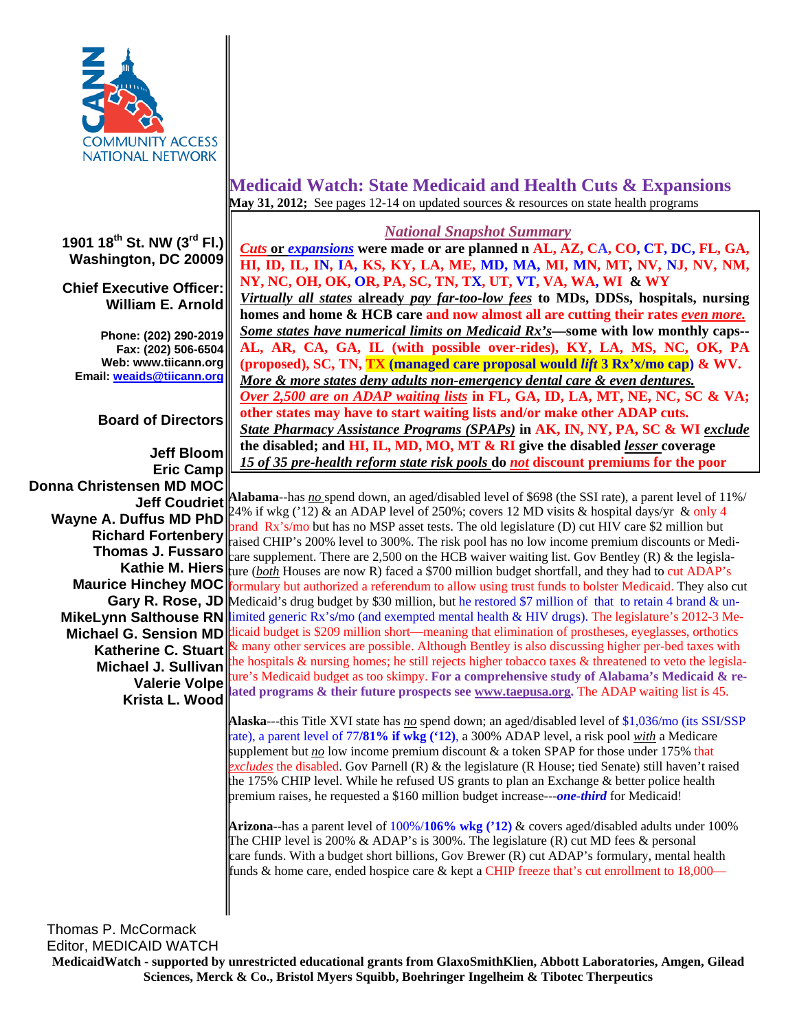

**1901 18th St. NW (3rd Fl.) Washington, DC 20009**

**Chief Executive Officer: William E. Arnold**

**Phone: (202) 290-2019 Fax: (202) 506-6504 Web: www.tiicann.org Email: weaids@tiicann.org**

**Board of Directors**

**Jeff Bloom Eric Camp Donna Christensen MD MOC Jeff Coudriet Valerie Volpe**

## **Medicaid Watch: State Medicaid and Health Cuts & Expansions May 31, 2012;** See pages 12-14 on updated sources & resources on state health programs

## *National Snapshot Summary*

*Cuts* **or** *expansions* **were made or are planned n AL, AZ, CA, CO, CT, DC, FL, GA, HI, ID, IL, IN, IA, KS, KY, LA, ME, MD, MA, MI, MN, MT, NV, NJ, NV, NM, NY, NC, OH, OK, OR, PA, SC, TN, TX, UT, VT, VA, WA, WI & WY** *Virtually all states* **already** *pay far-too-low fees* **to MDs, DDSs, hospitals, nursing homes and home & HCB care and now almost all are cutting their rates** *even more.* *Some states have numerical limits on Medicaid Rx's***—some with low monthly caps-- AL, AR, CA, GA, IL (with possible over-rides), KY, LA, MS, NC, OK, PA (proposed), SC, TN, TX (managed care proposal would** *lift* **3 Rx'x/mo cap) & WV.**  *More & more states deny adults non-emergency dental care & even dentures. Over 2,500 are on ADAP waiting lists* **in FL, GA, ID, LA, MT, NE, NC, SC & VA; other states may have to start waiting lists and/or make other ADAP cuts.**  *State Pharmacy Assistance Programs (SPAPs)* **in AK, IN, NY, PA, SC & WI** *exclude* **the disabled; and HI, IL, MD, MO, MT & RI give the disabled** *lesser* **coverage**  *15 of 35 pre-health reform state risk pools* **do** *not* **discount premiums for the poor** 

**Wayne A. Duffus MD PhD**  $\begin{bmatrix} 24\% & \text{if wkg} \\ \text{long the length of 250\% \\ \text{long the length of 250\%} \end{bmatrix}$ ; covers 12 MD visits & hospital days/yr & only 4 **Richard Fortenbery**<br>
raised CHIP's 200% level to 300%. The risk pool has no low income premium discounts or Medi-**Thomas J. Fussaro**  $\begin{bmatrix} \cos \theta & \sin \theta & \cos \theta \\ \cos \theta & \cos \theta & \sin \theta \end{bmatrix}$  are supplement. There are 2,500 on the HCB waiver waiting list. Gov Bentley (R) & the legisla-**Kathie M. Hiers**  $\|$ ure (*both* Houses are now R) faced a \$700 million budget shortfall, and they had to cut ADAP's **Maurice Hinchey MOC f**ormulary but authorized a referendum to allow using trust funds to bolster Medicaid. They also cut Gary R. Rose, JD Medicaid's drug budget by \$30 million, but he restored \$7 million of that to retain 4 brand & un-**MikeLynn Salthouse RN** imited generic Rx's/mo (and exempted mental health & HIV drugs). The legislature's 2012-3 Me-**Michael G. Sension MD** dicaid budget is \$209 million short—meaning that elimination of prostheses, eyeglasses, orthotics **Katherine C. Stuart**  $\mathbb{R}^k$  many other services are possible. Although Bentley is also discussing higher per-bed taxes with **Michael J. Sullivan** the hospitals & nursing homes; he still rejects higher tobacco taxes & threatened to veto the legisla-**Krista L. Wood** ated programs & their future prospects see <u>www.taepusa.org</u>. The ADAP waiting list is 45. **Alabama**--has *no* spend down, an aged/disabled level of \$698 (the SSI rate), a parent level of 11%/ brand Rx's/mo but has no MSP asset tests. The old legislature (D) cut HIV care \$2 million but ture's Medicaid budget as too skimpy. **For a comprehensive study of Alabama's Medicaid & re-**

> **Alaska**---this Title XVI state has *no* spend down; an aged/disabled level of \$1,036/mo (its SSI/SSP rate), a parent level of 77**/81% if wkg ('12)**, a 300% ADAP level, a risk pool *with* a Medicare supplement but <u>no</u> low income premium discount & a token SPAP for those under 175% that *excludes* the disabled. Gov Parnell (R) & the legislature (R House; tied Senate) still haven't raised the 175% CHIP level. While he refused US grants to plan an Exchange & better police health premium raises, he requested a \$160 million budget increase---*one-third* for Medicaid!

**Arizona**--has a parent level of 100%/**106% wkg ('12)** & covers aged/disabled adults under 100% The CHIP level is 200% & ADAP's is 300%. The legislature  $(R)$  cut MD fees & personal care funds. With a budget short billions, Gov Brewer (R) cut ADAP's formulary, mental health funds & home care, ended hospice care & kept a CHIP freeze that's cut enrollment to 18,000—

Thomas P. McCormack Editor, MEDICAID WATCH

**MedicaidWatch - supported by unrestricted educational grants from GlaxoSmithKlien, Abbott Laboratories, Amgen, Gilead Sciences, Merck & Co., Bristol Myers Squibb, Boehringer Ingelheim & Tibotec Therpeutics**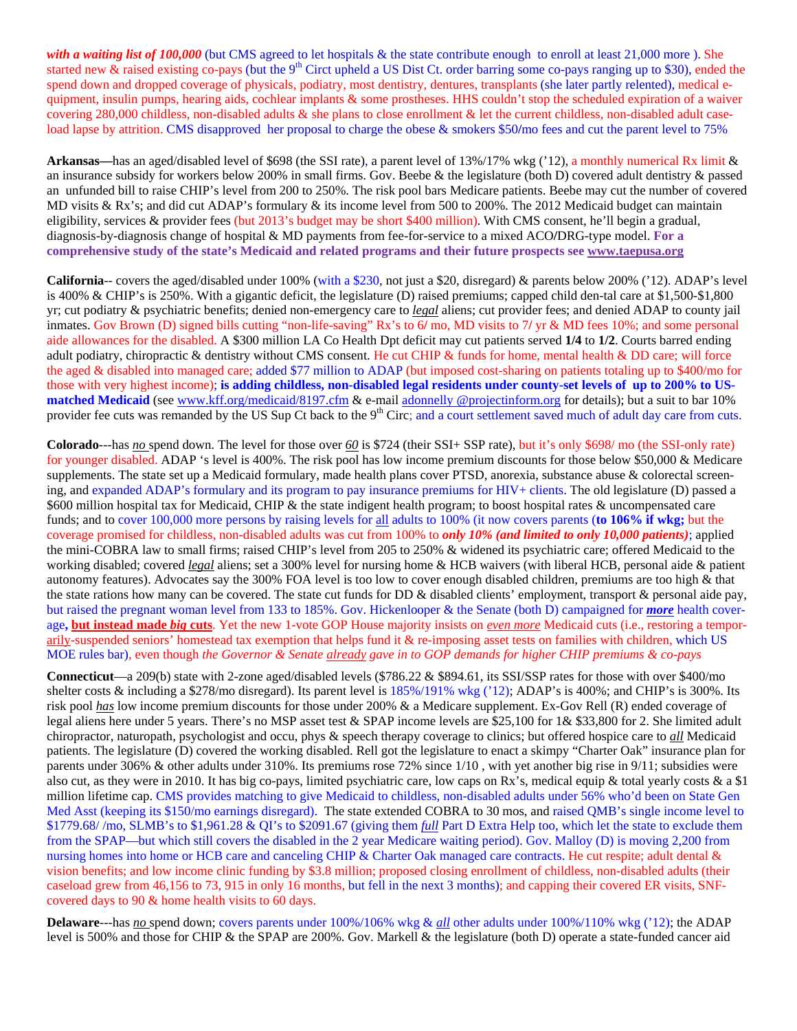with a waiting list of 100,000 (but CMS agreed to let hospitals & the state contribute enough to enroll at least 21,000 more). She started new & raised existing co-pays (but the 9<sup>th</sup> Circt upheld a US Dist Ct. order barring some co-pays ranging up to \$30), ended the spend down and dropped coverage of physicals, podiatry, most dentistry, dentures, transplants (she later partly relented), medical equipment, insulin pumps, hearing aids, cochlear implants & some prostheses. HHS couldn't stop the scheduled expiration of a waiver covering 280,000 childless, non-disabled adults & she plans to close enrollment & let the current childless, non-disabled adult caseload lapse by attrition. CMS disapproved her proposal to charge the obese & smokers \$50**/**mo fees and cut the parent level to 75%

**Arkansas—**has an aged/disabled level of \$698 (the SSI rate), a parent level of 13%/17% wkg ('12), a monthly numerical Rx limit & an insurance subsidy for workers below 200% in small firms. Gov. Beebe & the legislature (both D) covered adult dentistry & passed an unfunded bill to raise CHIP's level from 200 to 250%. The risk pool bars Medicare patients. Beebe may cut the number of covered MD visits & Rx's; and did cut ADAP's formulary & its income level from 500 to 200%. The 2012 Medicaid budget can maintain eligibility, services & provider fees (but 2013's budget may be short \$400 million). With CMS consent, he'll begin a gradual, diagnosis-by-diagnosis change of hospital & MD payments from fee-for-service to a mixed ACO**/**DRG-type model. **For a comprehensive study of the state's Medicaid and related programs and their future prospects see www.taepusa.org** 

**California**-- covers the aged/disabled under 100% (with a \$230, not just a \$20, disregard) & parents below 200% ('12). ADAP's level is 400% & CHIP's is 250%. With a gigantic deficit, the legislature (D) raised premiums; capped child den-tal care at \$1,500-\$1,800 yr; cut podiatry & psychiatric benefits; denied non-emergency care to *legal* aliens; cut provider fees; and denied ADAP to county jail inmates. Gov Brown (D) signed bills cutting "non-life-saving" Rx's to 6**/** mo, MD visits to 7**/** yr & MD fees 10%; and some personal aide allowances for the disabled. A \$300 million LA Co Health Dpt deficit may cut patients served **1/4** to **1/2**. Courts barred ending adult podiatry, chiropractic & dentistry without CMS consent. He cut CHIP & funds for home, mental health & DD care; will force the aged & disabled into managed care; added \$77 million to ADAP (but imposed cost-sharing on patients totaling up to \$400/mo for those with very highest income); **is adding childless, non-disabled legal residents under county-set levels of up to 200% to US**matched Medicaid (see www.kff.org/medicaid/8197.cfm & e-mail adonnelly @projectinform.org for details); but a suit to bar 10% provider fee cuts was remanded by the US Sup Ct back to the 9<sup>th</sup> Circ; and a court settlement saved much of adult day care from cuts.

**Colorado**---has *no* spend down. The level for those over *60* is \$724 (their SSI+ SSP rate), but it's only \$698/ mo (the SSI-only rate) for younger disabled. ADAP 's level is 400%. The risk pool has low income premium discounts for those below \$50,000 & Medicare supplements. The state set up a Medicaid formulary, made health plans cover PTSD, anorexia, substance abuse  $\&$  colorectal screening, and expanded ADAP's formulary and its program to pay insurance premiums for HIV+ clients. The old legislature (D) passed a \$600 million hospital tax for Medicaid, CHIP & the state indigent health program; to boost hospital rates & uncompensated care funds; and to cover 100,000 more persons by raising levels for all adults to 100% (it now covers parents (**to 106% if wkg;** but the coverage promised for childless, non-disabled adults was cut from 100% to *only 10% (and limited to only 10,000 patients)*; applied the mini-COBRA law to small firms; raised CHIP's level from 205 to 250% & widened its psychiatric care; offered Medicaid to the working disabled; covered *legal* aliens; set a 300% level for nursing home & HCB waivers (with liberal HCB, personal aide & patient autonomy features). Advocates say the 300% FOA level is too low to cover enough disabled children, premiums are too high & that the state rations how many can be covered. The state cut funds for DD & disabled clients' employment, transport & personal aide pay, but raised the pregnant woman level from 133 to 185%. Gov. Hickenlooper & the Senate (both D) campaigned for *more* health coverage**, but instead made** *big* **cuts**. Yet the new 1-vote GOP House majority insists on *even more* Medicaid cuts (i.e., restoring a temporarily-suspended seniors' homestead tax exemption that helps fund it & re-imposing asset tests on families with children, which US MOE rules bar), even though *the Governor & Senate already gave in to GOP demands for higher CHIP premiums & co-pays*

**Connecticut**—a 209(b) state with 2-zone aged/disabled levels (\$786.22 & \$894.61, its SSI/SSP rates for those with over \$400/mo shelter costs & including a \$278/mo disregard). Its parent level is  $185\%/191\%$  wkg ('12); ADAP's is 400%; and CHIP's is 300%. Its risk pool *has* low income premium discounts for those under 200% & a Medicare supplement. Ex-Gov Rell (R) ended coverage of legal aliens here under 5 years. There's no MSP asset test & SPAP income levels are \$25,100 for 1& \$33,800 for 2. She limited adult chiropractor, naturopath, psychologist and occu, phys & speech therapy coverage to clinics; but offered hospice care to *all* Medicaid patients. The legislature (D) covered the working disabled. Rell got the legislature to enact a skimpy "Charter Oak" insurance plan for parents under 306% & other adults under 310%. Its premiums rose 72% since 1/10 , with yet another big rise in 9/11; subsidies were also cut, as they were in 2010. It has big co-pays, limited psychiatric care, low caps on Rx's, medical equip & total yearly costs & a \$1 million lifetime cap. CMS provides matching to give Medicaid to childless, non-disabled adults under 56% who'd been on State Gen Med Asst (keeping its \$150/mo earnings disregard). The state extended COBRA to 30 mos, and raised QMB's single income level to \$1779.68/ /mo, SLMB's to \$1,961.28 & QI's to \$2091.67 (giving them *full* Part D Extra Help too, which let the state to exclude them from the SPAP—but which still covers the disabled in the 2 year Medicare waiting period). Gov. Malloy (D) is moving 2,200 from nursing homes into home or HCB care and canceling CHIP & Charter Oak managed care contracts. He cut respite; adult dental & vision benefits; and low income clinic funding by \$3.8 million; proposed closing enrollment of childless, non-disabled adults (their caseload grew from 46,156 to 73, 915 in only 16 months, but fell in the next 3 months); and capping their covered ER visits, SNFcovered days to 90 & home health visits to 60 days.

**Delaware**---has *no* spend down; covers parents under 100%/106% wkg & *all* other adults under 100%/110% wkg ('12); the ADAP level is 500% and those for CHIP & the SPAP are 200%. Gov. Markell & the legislature (both D) operate a state-funded cancer aid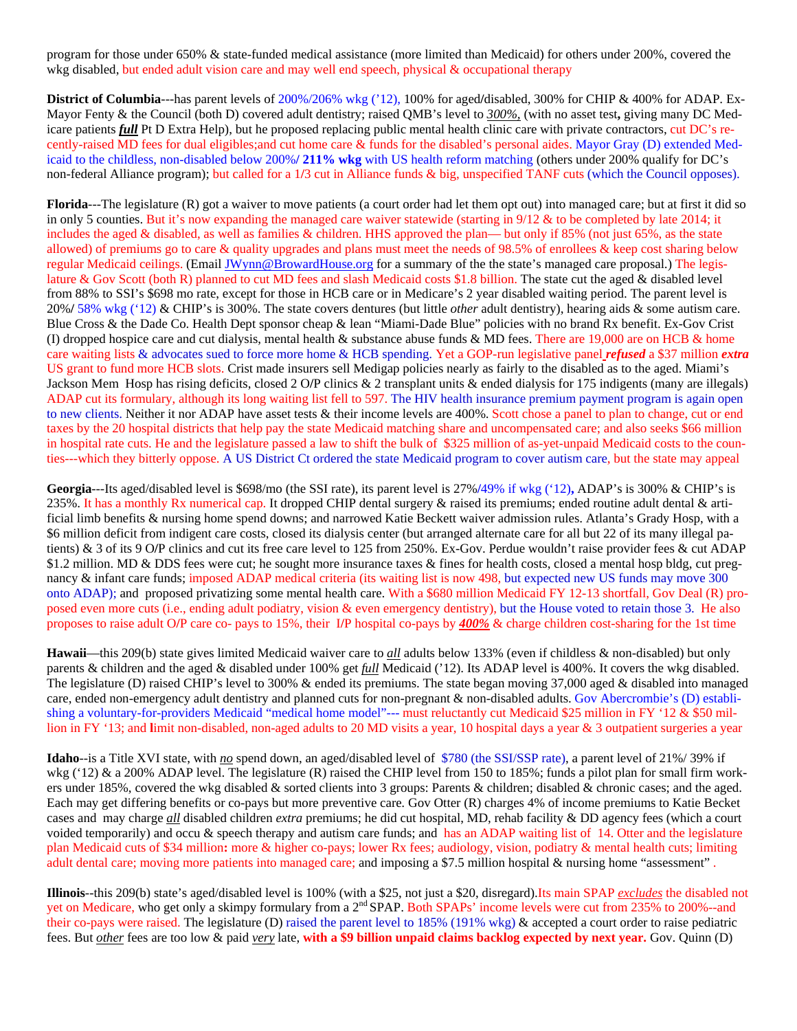program for those under 650% & state-funded medical assistance (more limited than Medicaid) for others under 200%, covered the wkg disabled, but ended adult vision care and may well end speech, physical & occupational therapy

**District of Columbia**---has parent levels of 200%/206% wkg ('12), 100% for aged**/**disabled, 300% for CHIP & 400% for ADAP. Ex-Mayor Fenty & the Council (both D) covered adult dentistry; raised QMB's level to *300%,* (with no asset test**,** giving many DC Medicare patients *full* Pt D Extra Help), but he proposed replacing public mental health clinic care with private contractors, cut DC's recently-raised MD fees for dual eligibles;and cut home care & funds for the disabled's personal aides. Mayor Gray (D) extended Medicaid to the childless, non-disabled below 200%**/ 211% wkg** with US health reform matching (others under 200% qualify for DC's non-federal Alliance program); but called for a 1**/**3 cut in Alliance funds & big, unspecified TANF cuts (which the Council opposes).

**Florida**---The legislature (R) got a waiver to move patients (a court order had let them opt out) into managed care; but at first it did so in only 5 counties. But it's now expanding the managed care waiver statewide (starting in 9/12 & to be completed by late 2014; it includes the aged & disabled, as well as families & children. HHS approved the plan— but only if  $85\%$  (not just 65%, as the state allowed) of premiums go to care & quality upgrades and plans must meet the needs of 98.5% of enrollees & keep cost sharing below regular Medicaid ceilings. (Email JWynn@BrowardHouse.org for a summary of the the state's managed care proposal.) The legislature & Gov Scott (both R) planned to cut MD fees and slash Medicaid costs \$1.8 billion. The state cut the aged & disabled level from 88% to SSI's \$698 mo rate, except for those in HCB care or in Medicare's 2 year disabled waiting period. The parent level is 20%**/** 58% wkg ('12) & CHIP's is 300%. The state covers dentures (but little *other* adult dentistry), hearing aids & some autism care. Blue Cross & the Dade Co. Health Dept sponsor cheap & lean "Miami-Dade Blue" policies with no brand Rx benefit. Ex-Gov Crist (I) dropped hospice care and cut dialysis, mental health  $\&$  substance abuse funds  $\&$  MD fees. There are 19,000 are on HCB  $\&$  home care waiting lists & advocates sued to force more home & HCB spending. Yet a GOP-run legislative panel *refused* a \$37 million *extra*  US grant to fund more HCB slots. Crist made insurers sell Medigap policies nearly as fairly to the disabled as to the aged. Miami's Jackson Mem Hosp has rising deficits, closed 2 O**/**P clinics & 2 transplant units & ended dialysis for 175 indigents (many are illegals) ADAP cut its formulary, although its long waiting list fell to 597. The HIV health insurance premium payment program is again open to new clients. Neither it nor ADAP have asset tests & their income levels are 400%. Scott chose a panel to plan to change, cut or end taxes by the 20 hospital districts that help pay the state Medicaid matching share and uncompensated care; and also seeks \$66 million in hospital rate cuts. He and the legislature passed a law to shift the bulk of \$325 million of as-yet-unpaid Medicaid costs to the counties---which they bitterly oppose. A US District Ct ordered the state Medicaid program to cover autism care, but the state may appeal

**Georgia**---Its aged/disabled level is \$698/mo (the SSI rate), its parent level is 27%**/**49% if wkg ('12)**,** ADAP's is 300% & CHIP's is 235%. It has a monthly Rx numerical cap. It dropped CHIP dental surgery  $\&$  raised its premiums; ended routine adult dental  $\&$  artificial limb benefits & nursing home spend downs; and narrowed Katie Beckett waiver admission rules. Atlanta's Grady Hosp, with a \$6 million deficit from indigent care costs, closed its dialysis center (but arranged alternate care for all but 22 of its many illegal patients) & 3 of its 9 O**/**P clinics and cut its free care level to 125 from 250%. Ex-Gov. Perdue wouldn't raise provider fees & cut ADAP \$1.2 million. MD & DDS fees were cut; he sought more insurance taxes & fines for health costs, closed a mental hosp bldg, cut pregnancy & infant care funds; imposed ADAP medical criteria (its waiting list is now 498, but expected new US funds may move 300 onto ADAP); and proposed privatizing some mental health care. With a \$680 million Medicaid FY 12-13 shortfall, Gov Deal (R) proposed even more cuts (i.e., ending adult podiatry, vision & even emergency dentistry), but the House voted to retain those 3. He also proposes to raise adult O**/**P care co- pays to 15%, their I**/**P hospital co-pays by *400%* & charge children cost-sharing for the 1st time

**Hawaii**—this 209(b) state gives limited Medicaid waiver care to *all* adults below 133% (even if childless & non-disabled) but only parents & children and the aged & disabled under 100% get *full* Medicaid ('12). Its ADAP level is 400%. It covers the wkg disabled. The legislature (D) raised CHIP's level to 300% & ended its premiums. The state began moving 37,000 aged & disabled into managed care, ended non-emergency adult dentistry and planned cuts for non-pregnant & non-disabled adults. Gov Abercrombie's (D) establishing a voluntary-for-providers Medicaid "medical home model"--- must reluctantly cut Medicaid \$25 million in FY '12 & \$50 million in FY '13; and **l**imit non-disabled, non-aged adults to 20 MD visits a year, 10 hospital days a year & 3 outpatient surgeries a year

**Idaho**--is a Title XVI state, with *no* spend down, an aged/disabled level of \$780 (the SSI/SSP rate), a parent level of 21%/ 39% if wkg ('12) & a 200% ADAP level. The legislature (R) raised the CHIP level from 150 to 185%; funds a pilot plan for small firm workers under 185%, covered the wkg disabled & sorted clients into 3 groups: Parents & children; disabled & chronic cases; and the aged. Each may get differing benefits or co-pays but more preventive care*.* Gov Otter (R) charges 4% of income premiums to Katie Becket cases and may charge *all* disabled children *extra* premiums; he did cut hospital, MD, rehab facility & DD agency fees (which a court voided temporarily) and occu & speech therapy and autism care funds; and has an ADAP waiting list of 14. Otter and the legislature plan Medicaid cuts of \$34 million**:** more & higher co-pays; lower Rx fees; audiology, vision, podiatry & mental health cuts; limiting adult dental care; moving more patients into managed care; and imposing a \$7.5 million hospital & nursing home "assessment" .

**Illinois**--this 209(b) state's aged/disabled level is 100% (with a \$25, not just a \$20, disregard).Its main SPAP *excludes* the disabled not yet on Medicare, who get only a skimpy formulary from a 2<sup>nd</sup> SPAP. Both SPAPs' income levels were cut from 235% to 200%--and their co-pays were raised. The legislature (D) raised the parent level to 185% (191% wkg) & accepted a court order to raise pediatric fees. But *other* fees are too low & paid *very* late, **with a \$9 billion unpaid claims backlog expected by next year.** Gov. Quinn (D)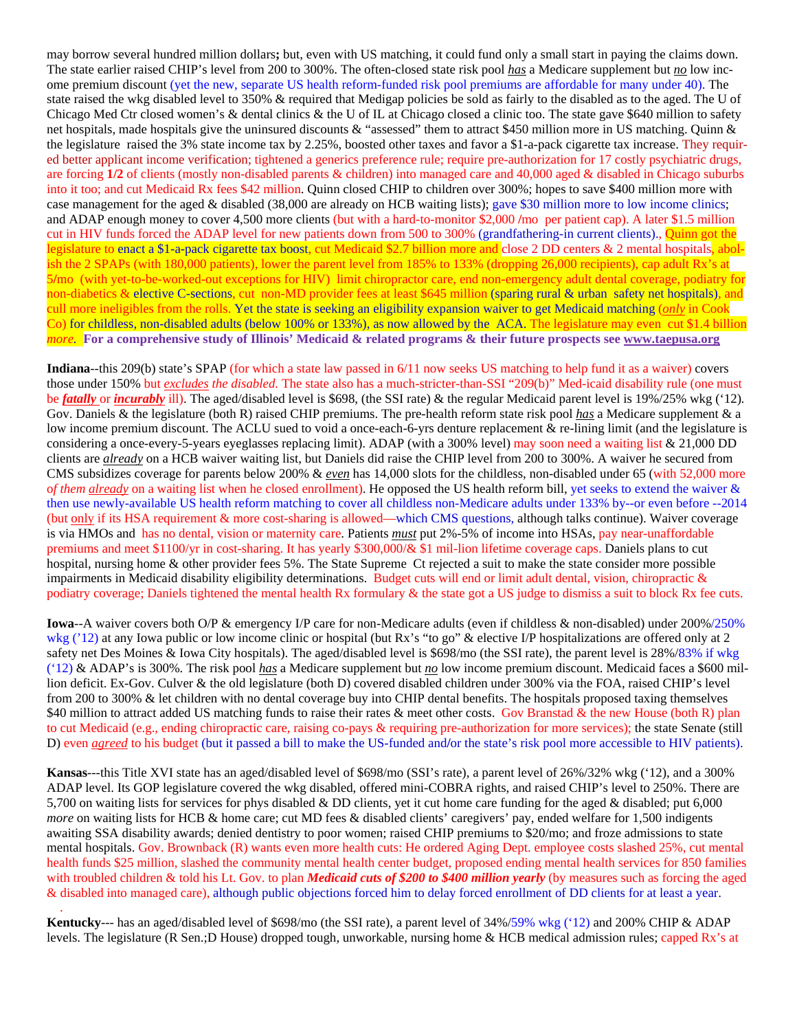may borrow several hundred million dollars**;** but, even with US matching, it could fund only a small start in paying the claims down. The state earlier raised CHIP's level from 200 to 300%. The often-closed state risk pool *has* a Medicare supplement but *no* low income premium discount (yet the new, separate US health reform-funded risk pool premiums are affordable for many under 40). The state raised the wkg disabled level to 350% & required that Medigap policies be sold as fairly to the disabled as to the aged. The U of Chicago Med Ctr closed women's & dental clinics & the U of IL at Chicago closed a clinic too. The state gave \$640 million to safety net hospitals, made hospitals give the uninsured discounts & "assessed" them to attract \$450 million more in US matching. Quinn & the legislature raised the 3% state income tax by 2.25%, boosted other taxes and favor a \$1-a-pack cigarette tax increase. They required better applicant income verification; tightened a generics preference rule; require pre-authorization for 17 costly psychiatric drugs, are forcing **1/2** of clients (mostly non-disabled parents & children) into managed care and 40,000 aged & disabled in Chicago suburbs into it too; and cut Medicaid Rx fees \$42 million. Quinn closed CHIP to children over 300%; hopes to save \$400 million more with case management for the aged & disabled (38,000 are already on HCB waiting lists); gave \$30 million more to low income clinics; and ADAP enough money to cover 4,500 more clients (but with a hard-to-monitor \$2,000 **/**mo per patient cap). A later \$1.5 million cut in HIV funds forced the ADAP level for new patients down from 500 to 300% (grandfathering-in current clients)., Quinn got the legislature to enact a \$1-a-pack cigarette tax boost, cut Medicaid \$2.7 billion more and close 2 DD centers & 2 mental hospitals, abolish the 2 SPAPs (with 180,000 patients), lower the parent level from 185% to 133% (dropping 26,000 recipients), cap adult Rx's at 5**/**mo (with yet-to-be-worked-out exceptions for HIV) limit chiropractor care, end non-emergency adult dental coverage, podiatry for non-diabetics & elective C-sections, cut non-MD provider fees at least \$645 million (sparing rural & urban safety net hospitals), and cull more ineligibles from the rolls. Yet the state is seeking an eligibility expansion waiver to get Medicaid matching (*only* in Cook Co) for childless, non-disabled adults (below 100% or 133%), as now allowed by the ACA. The legislature may even cut \$1.4 billion *more.* **For a comprehensive study of Illinois' Medicaid & related programs & their future prospects see www.taepusa.org**

**Indiana**--this 209(b) state's SPAP (for which a state law passed in 6/11 now seeks US matching to help fund it as a waiver) covers those under 150% but *excludes the disabled.* The state also has a much-stricter-than-SSI "209(b)" Med-icaid disability rule (one must be *fatally* or *incurably* ill). The aged/disabled level is \$698, (the SSI rate) & the regular Medicaid parent level is 19%/25% wkg ('12)*.*  Gov. Daniels & the legislature (both R) raised CHIP premiums. The pre-health reform state risk pool *has* a Medicare supplement & a low income premium discount. The ACLU sued to void a once-each-6-yrs denture replacement & re-lining limit (and the legislature is considering a once-every-5-years eyeglasses replacing limit). ADAP (with a 300% level) may soon need a waiting list & 21,000 DD clients are *already* on a HCB waiver waiting list, but Daniels did raise the CHIP level from 200 to 300%. A waiver he secured from CMS subsidizes coverage for parents below 200% & *even* has 14,000 slots for the childless, non-disabled under 65 (with 52,000 more o*f them already* on a waiting list when he closed enrollment). He opposed the US health reform bill, yet seeks to extend the waiver & then use newly-available US health reform matching to cover all childless non-Medicare adults under 133% by--or even before --2014 (but only if its HSA requirement & more cost-sharing is allowed—which CMS questions, although talks continue). Waiver coverage is via HMOs and has no dental, vision or maternity care. Patients *must* put 2%-5% of income into HSAs, pay near-unaffordable premiums and meet \$1100/yr in cost-sharing. It has yearly \$300,000/& \$1 mil-lion lifetime coverage caps. Daniels plans to cut hospital, nursing home & other provider fees 5%. The State Supreme Ct rejected a suit to make the state consider more possible impairments in Medicaid disability eligibility determinations. Budget cuts will end or limit adult dental, vision, chiropractic & podiatry coverage; Daniels tightened the mental health Rx formulary & the state got a US judge to dismiss a suit to block Rx fee cuts.

**Iowa**--A waiver covers both O/P & emergency I/P care for non-Medicare adults (even if childless & non-disabled) under 200%/250% wkg ('12) at any Iowa public or low income clinic or hospital (but Rx's "to go" & elective I/P hospitalizations are offered only at 2 safety net Des Moines & Iowa City hospitals). The aged/disabled level is \$698/mo (the SSI rate), the parent level is 28%/83% if wkg ('12) & ADAP's is 300%. The risk pool *has* a Medicare supplement but *no* low income premium discount. Medicaid faces a \$600 million deficit. Ex-Gov. Culver & the old legislature (both D) covered disabled children under 300% via the FOA, raised CHIP's level from 200 to 300% & let children with no dental coverage buy into CHIP dental benefits. The hospitals proposed taxing themselves \$40 million to attract added US matching funds to raise their rates & meet other costs. Gov Branstad & the new House (both R) plan to cut Medicaid (e.g., ending chiropractic care, raising co-pays & requiring pre-authorization for more services); the state Senate (still D) even *agreed* to his budget (but it passed a bill to make the US-funded and**/**or the state's risk pool more accessible to HIV patients).

**Kansas**---this Title XVI state has an aged/disabled level of \$698/mo (SSI's rate), a parent level of 26%/32% wkg ('12), and a 300% ADAP level. Its GOP legislature covered the wkg disabled, offered mini-COBRA rights, and raised CHIP's level to 250%. There are 5,700 on waiting lists for services for phys disabled & DD clients, yet it cut home care funding for the aged & disabled; put 6,000 *more* on waiting lists for HCB & home care; cut MD fees & disabled clients' caregivers' pay, ended welfare for 1,500 indigents awaiting SSA disability awards; denied dentistry to poor women; raised CHIP premiums to \$20/mo; and froze admissions to state mental hospitals. Gov. Brownback (R) wants even more health cuts: He ordered Aging Dept. employee costs slashed 25%, cut mental health funds \$25 million, slashed the community mental health center budget, proposed ending mental health services for 850 families with troubled children & told his Lt. Gov. to plan *Medicaid cuts of \$200 to \$400 million yearly* (by measures such as forcing the aged & disabled into managed care), although public objections forced him to delay forced enrollment of DD clients for at least a year.

**Kentucky**--- has an aged/disabled level of \$698/mo (the SSI rate), a parent level of 34%/59% wkg ('12) and 200% CHIP & ADAP levels. The legislature (R Sen.;D House) dropped tough, unworkable, nursing home & HCB medical admission rules; capped Rx's at

.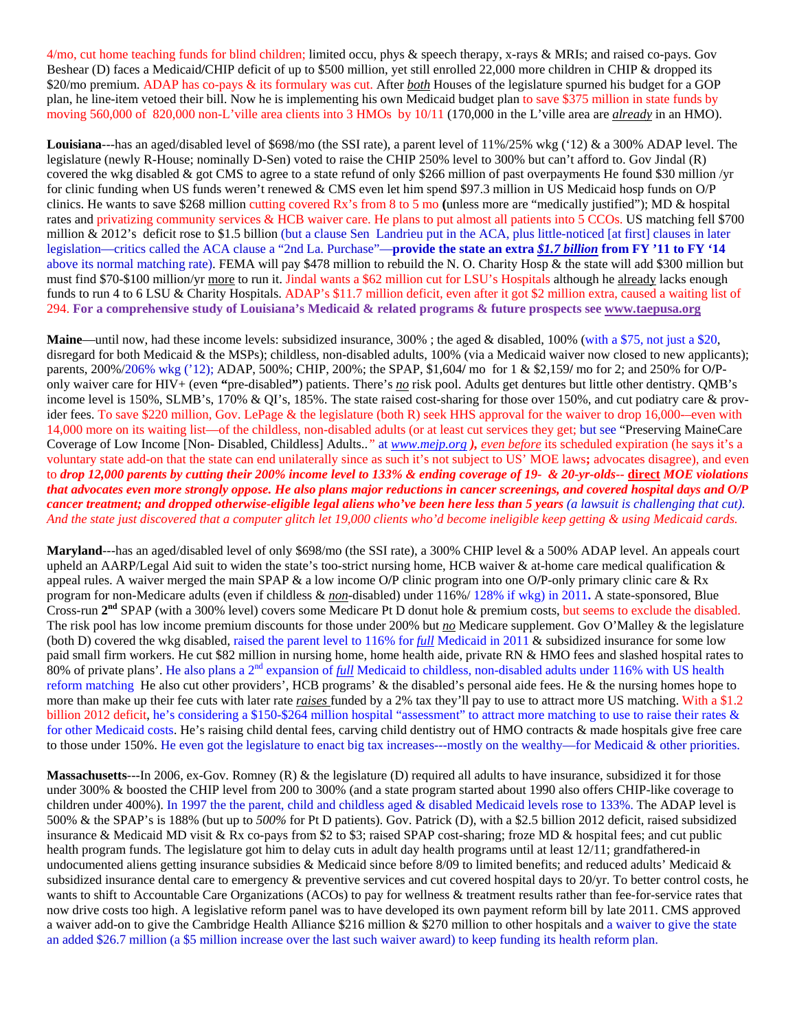4/mo, cut home teaching funds for blind children; limited occu, phys & speech therapy, x-rays & MRIs; and raised co-pays. Gov Beshear (D) faces a Medicaid**/**CHIP deficit of up to \$500 million, yet still enrolled 22,000 more children in CHIP & dropped its \$20/mo premium. ADAP has co-pays & its formulary was cut. After *both* Houses of the legislature spurned his budget for a GOP plan, he line-item vetoed their bill. Now he is implementing his own Medicaid budget plan to save \$375 million in state funds by moving 560,000 of 820,000 non-L'ville area clients into 3 HMOs by 10/11 (170,000 in the L'ville area are *already* in an HMO).

**Louisiana**---has an aged/disabled level of \$698/mo (the SSI rate), a parent level of 11%/25% wkg ('12) & a 300% ADAP level. The legislature (newly R-House; nominally D-Sen) voted to raise the CHIP 250% level to 300% but can't afford to. Gov Jindal (R) covered the wkg disabled & got CMS to agree to a state refund of only \$266 million of past overpayments He found \$30 million /yr for clinic funding when US funds weren't renewed & CMS even let him spend \$97.3 million in US Medicaid hosp funds on O/P clinics. He wants to save \$268 million cutting covered Rx's from 8 to 5 mo **(**unless more are "medically justified"); MD & hospital rates and privatizing community services & HCB waiver care. He plans to put almost all patients into 5 CCOs. US matching fell \$700 million & 2012's deficit rose to \$1.5 billion (but a clause Sen Landrieu put in the ACA, plus little-noticed [at first] clauses in later legislation—critics called the ACA clause a "2nd La. Purchase"—**provide the state an extra** *\$1.7 billion* **from FY '11 to FY '14**  above its normal matching rate). FEMA will pay \$478 million to rebuild the N. O. Charity Hosp & the state will add \$300 million but must find \$70-\$100 million/yr more to run it. Jindal wants a \$62 million cut for LSU's Hospitals although he already lacks enough funds to run 4 to 6 LSU & Charity Hospitals. ADAP's \$11.7 million deficit, even after it got \$2 million extra, caused a waiting list of 294. **For a comprehensive study of Louisiana's Medicaid & related programs & future prospects see www.taepusa.org** 

**Maine—until now, had these income levels: subsidized insurance, 300%; the aged & disabled, 100% (with a \$75, not just a \$20,** disregard for both Medicaid & the MSPs); childless, non-disabled adults, 100% (via a Medicaid waiver now closed to new applicants); parents, 200%/206% wkg ('12); ADAP, 500%; CHIP, 200%; the SPAP, \$1,604**/** mo for 1 & \$2,159**/** mo for 2; and 250% for O**/**Ponly waiver care for HIV+ (even **"**pre-disabled**"**) patients. There's *no* risk pool. Adults get dentures but little other dentistry. QMB's income level is 150%, SLMB's, 170% & QI's, 185%. The state raised cost-sharing for those over 150%, and cut podiatry care & provider fees. To save \$220 million, Gov. LePage & the legislature (both R) seek HHS approval for the waiver to drop 16,000-–even with 14,000 more on its waiting list—of the childless, non-disabled adults (or at least cut services they get; but see "Preserving MaineCare Coverage of Low Income [Non- Disabled, Childless] Adults..*"* at *www.mejp.org ), even before* its scheduled expiration (he says it's a voluntary state add-on that the state can end unilaterally since as such it's not subject to US' MOE laws**;** advocates disagree), and even to *drop 12,000 parents by cutting their 200% income level to 133% & ending coverage of 19- & 20-yr-olds--* **direct** *MOE violations that advocates even more strongly oppose. He also plans major reductions in cancer screenings, and covered hospital days and O/P cancer treatment; and dropped otherwise-eligible legal aliens who've been here less than 5 years (a lawsuit is challenging that cut). And the state just discovered that a computer glitch let 19,000 clients who'd become ineligible keep getting & using Medicaid cards.* 

**Maryland**---has an aged/disabled level of only \$698/mo (the SSI rate), a 300% CHIP level & a 500% ADAP level. An appeals court upheld an AARP/Legal Aid suit to widen the state's too-strict nursing home, HCB waiver  $\&$  at-home care medical qualification  $\&$ appeal rules. A waiver merged the main SPAP & a low income O**/**P clinic program into one O**/**P-only primary clinic care & Rx program for non-Medicare adults (even if childless & *non*-disabled) under 116%/ 128% if wkg) in 2011**.** A state-sponsored, Blue Cross-run **2nd** SPAP (with a 300% level) covers some Medicare Pt D donut hole & premium costs, but seems to exclude the disabled. The risk pool has low income premium discounts for those under 200% but *no* Medicare supplement. Gov O'Malley & the legislature (both D) covered the wkg disabled, raised the parent level to 116% for *full* Medicaid in 2011 & subsidized insurance for some low paid small firm workers. He cut \$82 million in nursing home, home health aide, private RN & HMO fees and slashed hospital rates to 80% of private plans'. He also plans a 2nd expansion of *full* Medicaid to childless, non-disabled adults under 116% with US health reform matching He also cut other providers', HCB programs' & the disabled's personal aide fees. He & the nursing homes hope to more than make up their fee cuts with later rate *raises* funded by a 2% tax they'll pay to use to attract more US matching. With a \$1.2 billion 2012 deficit, he's considering a \$150-\$264 million hospital "assessment" to attract more matching to use to raise their rates & for other Medicaid costs. He's raising child dental fees, carving child dentistry out of HMO contracts & made hospitals give free care to those under 150%. He even got the legislature to enact big tax increases—-mostly on the wealthy—for Medicaid  $\&$  other priorities.

**Massachusetts**---In 2006, ex-Gov. Romney (R) & the legislature (D) required all adults to have insurance, subsidized it for those under 300% & boosted the CHIP level from 200 to 300% (and a state program started about 1990 also offers CHIP-like coverage to children under 400%). In 1997 the the parent, child and childless aged & disabled Medicaid levels rose to 133%. The ADAP level is 500% & the SPAP's is 188% (but up to *500%* for Pt D patients). Gov. Patrick (D), with a \$2.5 billion 2012 deficit, raised subsidized insurance & Medicaid MD visit & Rx co-pays from \$2 to \$3; raised SPAP cost-sharing; froze MD & hospital fees; and cut public health program funds. The legislature got him to delay cuts in adult day health programs until at least 12/11; grandfathered-in undocumented aliens getting insurance subsidies & Medicaid since before 8/09 to limited benefits; and reduced adults' Medicaid  $\&$ subsidized insurance dental care to emergency & preventive services and cut covered hospital days to 20/yr. To better control costs, he wants to shift to Accountable Care Organizations (ACOs) to pay for wellness & treatment results rather than fee-for-service rates that now drive costs too high. A legislative reform panel was to have developed its own payment reform bill by late 2011. CMS approved a waiver add-on to give the Cambridge Health Alliance \$216 million & \$270 million to other hospitals and a waiver to give the state an added \$26.7 million (a \$5 million increase over the last such waiver award) to keep funding its health reform plan.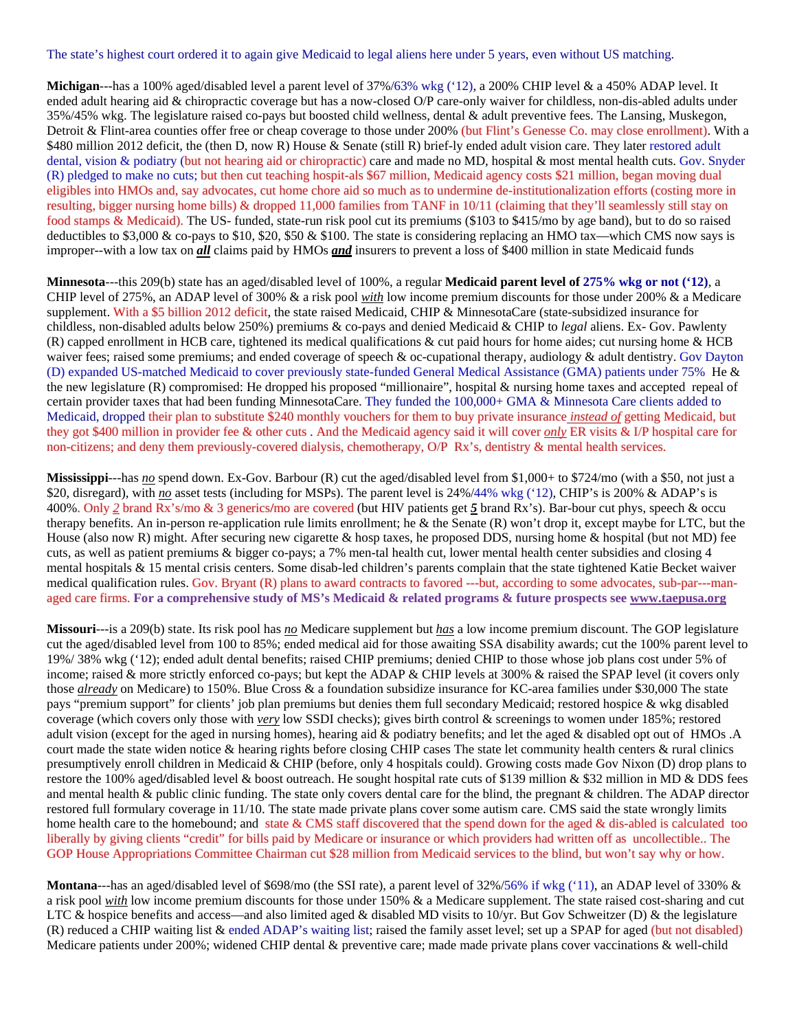The state's highest court ordered it to again give Medicaid to legal aliens here under 5 years, even without US matching.

**Michigan**---has a 100% aged/disabled level a parent level of 37%/63% wkg ('12), a 200% CHIP level & a 450% ADAP level. It ended adult hearing aid & chiropractic coverage but has a now-closed O/P care-only waiver for childless, non-dis-abled adults under 35%/45% wkg. The legislature raised co-pays but boosted child wellness, dental & adult preventive fees. The Lansing, Muskegon, Detroit & Flint-area counties offer free or cheap coverage to those under 200% (but Flint's Genesse Co. may close enrollment). With a \$480 million 2012 deficit, the (then D, now R) House & Senate (still R) brief-ly ended adult vision care. They later restored adult dental, vision & podiatry (but not hearing aid or chiropractic) care and made no MD, hospital & most mental health cuts. Gov. Snyder (R) pledged to make no cuts; but then cut teaching hospit-als \$67 million, Medicaid agency costs \$21 million, began moving dual eligibles into HMOs and, say advocates, cut home chore aid so much as to undermine de-institutionalization efforts (costing more in resulting, bigger nursing home bills) & dropped 11,000 families from TANF in 10/11 (claiming that they'll seamlessly still stay on food stamps & Medicaid). The US- funded, state-run risk pool cut its premiums (\$103 to \$415/mo by age band), but to do so raised deductibles to \$3,000 & co-pays to \$10, \$20, \$50 & \$100. The state is considering replacing an HMO tax—which CMS now says is improper--with a low tax on *all* claims paid by HMOs *and* insurers to prevent a loss of \$400 million in state Medicaid funds

**Minnesota**---this 209(b) state has an aged/disabled level of 100%, a regular **Medicaid parent level of 275% wkg or not ('12)**, a CHIP level of 275%, an ADAP level of 300% & a risk pool *with* low income premium discounts for those under 200% & a Medicare supplement. With a \$5 billion 2012 deficit, the state raised Medicaid, CHIP & MinnesotaCare (state-subsidized insurance for childless, non-disabled adults below 250%) premiums & co-pays and denied Medicaid & CHIP to *legal* aliens. Ex- Gov. Pawlenty (R) capped enrollment in HCB care, tightened its medical qualifications & cut paid hours for home aides; cut nursing home & HCB waiver fees; raised some premiums; and ended coverage of speech & oc-cupational therapy, audiology & adult dentistry. Gov Dayton (D) expanded US-matched Medicaid to cover previously state-funded General Medical Assistance (GMA) patients under 75% He & the new legislature (R) compromised: He dropped his proposed "millionaire", hospital & nursing home taxes and accepted repeal of certain provider taxes that had been funding MinnesotaCare. They funded the 100,000+ GMA & Minnesota Care clients added to Medicaid, dropped their plan to substitute \$240 monthly vouchers for them to buy private insurance *instead of* getting Medicaid, but they got \$400 million in provider fee & other cuts . And the Medicaid agency said it will cover *only* ER visits & I/P hospital care for non-citizens; and deny them previously-covered dialysis, chemotherapy, O/P Rx's, dentistry & mental health services.

**Mississippi---has** *no* spend down. Ex-Gov. Barbour (R) cut the aged/disabled level from \$1,000+ to \$724/mo (with a \$50, not just a \$20, disregard), with *no* asset tests (including for MSPs). The parent level is 24%/44% wkg ('12), CHIP's is 200% & ADAP's is 400%. Only *2* brand Rx's/mo & 3 generics**/**mo are covered (but HIV patients get *5* brand Rx's). Bar-bour cut phys, speech & occu therapy benefits. An in-person re-application rule limits enrollment; he & the Senate (R) won't drop it, except maybe for LTC, but the House (also now R) might. After securing new cigarette & hosp taxes, he proposed DDS, nursing home & hospital (but not MD) fee cuts, as well as patient premiums & bigger co-pays; a 7% men-tal health cut, lower mental health center subsidies and closing 4 mental hospitals & 15 mental crisis centers. Some disab-led children's parents complain that the state tightened Katie Becket waiver medical qualification rules. Gov. Bryant (R) plans to award contracts to favored ---but, according to some advocates, sub-par---managed care firms. **For a comprehensive study of MS's Medicaid & related programs & future prospects see www.taepusa.org** 

**Missouri**---is a 209(b) state. Its risk pool has *no* Medicare supplement but *has* a low income premium discount. The GOP legislature cut the aged/disabled level from 100 to 85%; ended medical aid for those awaiting SSA disability awards; cut the 100% parent level to 19%/ 38% wkg ('12); ended adult dental benefits; raised CHIP premiums; denied CHIP to those whose job plans cost under 5% of income; raised & more strictly enforced co-pays; but kept the ADAP & CHIP levels at 300% & raised the SPAP level (it covers only those *already* on Medicare) to 150%. Blue Cross & a foundation subsidize insurance for KC-area families under \$30,000 The state pays "premium support" for clients' job plan premiums but denies them full secondary Medicaid; restored hospice & wkg disabled coverage (which covers only those with *very* low SSDI checks); gives birth control & screenings to women under 185%; restored adult vision (except for the aged in nursing homes), hearing aid & podiatry benefits; and let the aged & disabled opt out of HMOs .A court made the state widen notice & hearing rights before closing CHIP cases The state let community health centers & rural clinics presumptively enroll children in Medicaid & CHIP (before, only 4 hospitals could). Growing costs made Gov Nixon (D) drop plans to restore the 100% aged**/**disabled level & boost outreach. He sought hospital rate cuts of \$139 million & \$32 million in MD & DDS fees and mental health & public clinic funding. The state only covers dental care for the blind, the pregnant & children. The ADAP director restored full formulary coverage in 11/10. The state made private plans cover some autism care. CMS said the state wrongly limits home health care to the homebound; and state & CMS staff discovered that the spend down for the aged & dis-abled is calculated too liberally by giving clients "credit" for bills paid by Medicare or insurance or which providers had written off as uncollectible.. The GOP House Appropriations Committee Chairman cut \$28 million from Medicaid services to the blind, but won't say why or how.

**Montana**---has an aged/disabled level of \$698/mo (the SSI rate), a parent level of 32%/56% if wkg ('11), an ADAP level of 330% & a risk pool *with* low income premium discounts for those under 150% & a Medicare supplement. The state raised cost-sharing and cut LTC & hospice benefits and access—and also limited aged & disabled MD visits to 10/yr. But Gov Schweitzer (D) & the legislature (R) reduced a CHIP waiting list & ended ADAP's waiting list; raised the family asset level; set up a SPAP for aged (but not disabled) Medicare patients under 200%; widened CHIP dental & preventive care; made made private plans cover vaccinations & well-child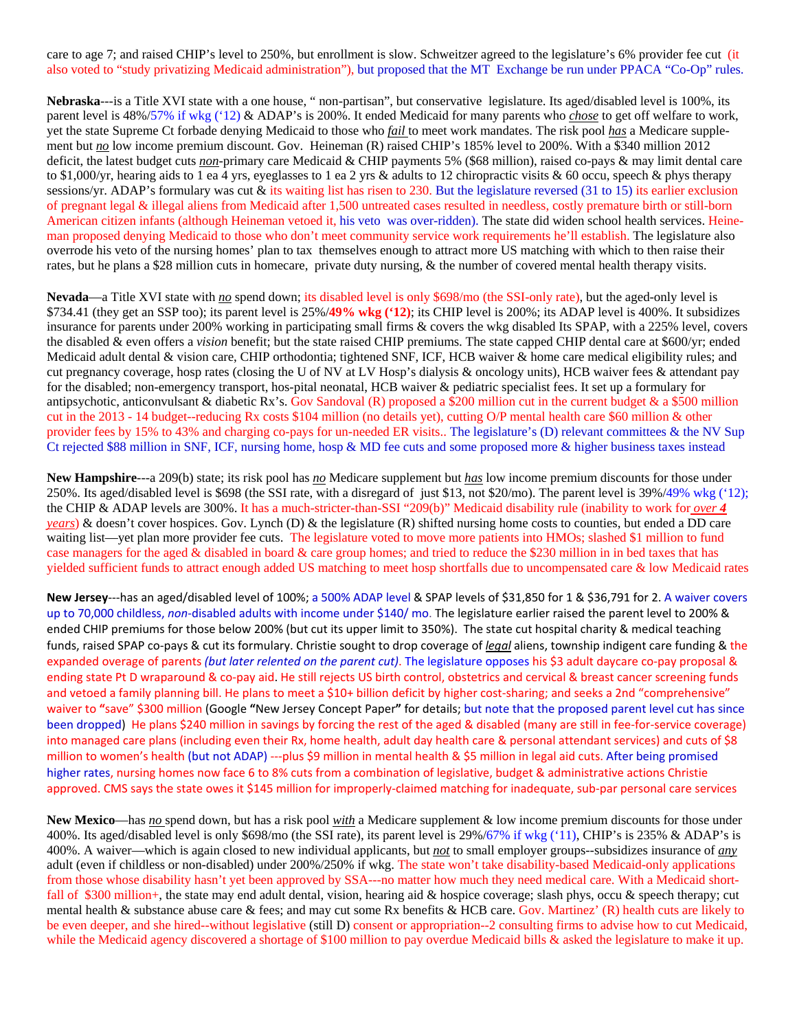care to age 7; and raised CHIP's level to 250%, but enrollment is slow. Schweitzer agreed to the legislature's 6% provider fee cut (it also voted to "study privatizing Medicaid administration"), but proposed that the MT Exchange be run under PPACA "Co-Op" rules.

**Nebraska**---is a Title XVI state with a one house, " non-partisan", but conservative legislature. Its aged/disabled level is 100%, its parent level is 48%/57% if wkg ('12) & ADAP's is 200%. It ended Medicaid for many parents who *chose* to get off welfare to work, yet the state Supreme Ct forbade denying Medicaid to those who *fail* to meet work mandates. The risk pool *has* a Medicare supplement but *no* low income premium discount. Gov. Heineman (R) raised CHIP's 185% level to 200%. With a \$340 million 2012 deficit, the latest budget cuts *non*-primary care Medicaid & CHIP payments 5% (\$68 million), raised co-pays & may limit dental care to \$1,000/yr, hearing aids to 1 ea 4 yrs, eyeglasses to 1 ea 2 yrs & adults to 12 chiropractic visits & 60 occu, speech & phys therapy sessions/yr. ADAP's formulary was cut & its waiting list has risen to 230. But the legislature reversed (31 to 15) its earlier exclusion of pregnant legal & illegal aliens from Medicaid after 1,500 untreated cases resulted in needless, costly premature birth or still-born American citizen infants (although Heineman vetoed it, his veto was over-ridden). The state did widen school health services. Heineman proposed denying Medicaid to those who don't meet community service work requirements he'll establish. The legislature also overrode his veto of the nursing homes' plan to tax themselves enough to attract more US matching with which to then raise their rates, but he plans a \$28 million cuts in homecare, private duty nursing, & the number of covered mental health therapy visits.

**Nevada**—a Title XVI state with *no* spend down; its disabled level is only \$698/mo (the SSI-only rate), but the aged-only level is \$734.41 (they get an SSP too); its parent level is 25%/**49% wkg ('12)**; its CHIP level is 200%; its ADAP level is 400%. It subsidizes insurance for parents under 200% working in participating small firms & covers the wkg disabled Its SPAP, with a 225% level, covers the disabled & even offers a *vision* benefit; but the state raised CHIP premiums. The state capped CHIP dental care at \$600/yr; ended Medicaid adult dental & vision care, CHIP orthodontia; tightened SNF, ICF, HCB waiver & home care medical eligibility rules; and cut pregnancy coverage, hosp rates (closing the U of NV at LV Hosp's dialysis & oncology units), HCB waiver fees & attendant pay for the disabled; non-emergency transport, hos-pital neonatal, HCB waiver & pediatric specialist fees. It set up a formulary for antipsychotic, anticonvulsant & diabetic Rx's. Gov Sandoval  $(R)$  proposed a \$200 million cut in the current budget & a \$500 million cut in the 2013 - 14 budget--reducing Rx costs \$104 million (no details yet), cutting O/P mental health care \$60 million & other provider fees by 15% to 43% and charging co-pays for un-needed ER visits.. The legislature's (D) relevant committees & the NV Sup Ct rejected \$88 million in SNF, ICF, nursing home, hosp & MD fee cuts and some proposed more & higher business taxes instead

**New Hampshire**---a 209(b) state; its risk pool has *no* Medicare supplement but *has* low income premium discounts for those under 250%. Its aged/disabled level is \$698 (the SSI rate, with a disregard of just \$13, not \$20/mo). The parent level is 39%/49% wkg ('12); the CHIP & ADAP levels are 300%. It has a much-stricter-than-SSI "209(b)" Medicaid disability rule (inability to work for *over 4 years*) & doesn't cover hospices. Gov. Lynch (D) & the legislature (R) shifted nursing home costs to counties, but ended a DD care waiting list—yet plan more provider fee cuts. The legislature voted to move more patients into HMOs; slashed \$1 million to fund case managers for the aged & disabled in board & care group homes; and tried to reduce the \$230 million in in bed taxes that has yielded sufficient funds to attract enough added US matching to meet hosp shortfalls due to uncompensated care & low Medicaid rates

**New Jersey**‐‐‐has an aged/disabled level of 100%; a 500% ADAP level & SPAP levels of \$31,850 for 1 & \$36,791 for 2. A waiver covers up to 70,000 childless, non-disabled adults with income under \$140/mo. The legislature earlier raised the parent level to 200% & ended CHIP premiums for those below 200% (but cut its upper limit to 350%). The state cut hospital charity & medical teaching funds, raised SPAP co‐pays & cut its formulary. Christie sought to drop coverage of *legal* aliens, township indigent care funding & the expanded overage of parents *(but later relented on the parent cut)*. The legislature opposes his \$3 adult daycare co‐pay proposal & ending state Pt D wraparound & co‐pay aid. He still rejects US birth control, obstetrics and cervical & breast cancer screening funds and vetoed a family planning bill. He plans to meet a \$10+ billion deficit by higher cost-sharing; and seeks a 2nd "comprehensive" waiver to **"**save" \$300 million (Google **"**New Jersey Concept Paper**"** for details; but note that the proposed parent level cut has since been dropped) He plans \$240 million in savings by forcing the rest of the aged & disabled (many are still in fee-for-service coverage) into managed care plans (including even their Rx, home health, adult day health care & personal attendant services) and cuts of \$8 million to women's health (but not ADAP) ---plus \$9 million in mental health & \$5 million in legal aid cuts. After being promised higher rates, nursing homes now face 6 to 8% cuts from a combination of legislative, budget & administrative actions Christie approved. CMS says the state owes it \$145 million for improperly-claimed matching for inadequate, sub-par personal care services

**New Mexico**—has *no* spend down, but has a risk pool *with* a Medicare supplement & low income premium discounts for those under 400%. Its aged/disabled level is only \$698/mo (the SSI rate), its parent level is 29%/67% if wkg ('11), CHIP's is 235% & ADAP's is 400%. A waiver—which is again closed to new individual applicants, but *not* to small employer groups--subsidizes insurance of *any* adult (even if childless or non-disabled) under 200%/250% if wkg. The state won't take disability-based Medicaid-only applications from those whose disability hasn't yet been approved by SSA---no matter how much they need medical care. With a Medicaid shortfall of \$300 million+, the state may end adult dental, vision, hearing aid & hospice coverage; slash phys, occu & speech therapy; cut mental health & substance abuse care & fees; and may cut some Rx benefits & HCB care. Gov. Martinez' (R) health cuts are likely to be even deeper, and she hired--without legislative (still D) consent or appropriation--2 consulting firms to advise how to cut Medicaid, while the Medicaid agency discovered a shortage of \$100 million to pay overdue Medicaid bills & asked the legislature to make it up.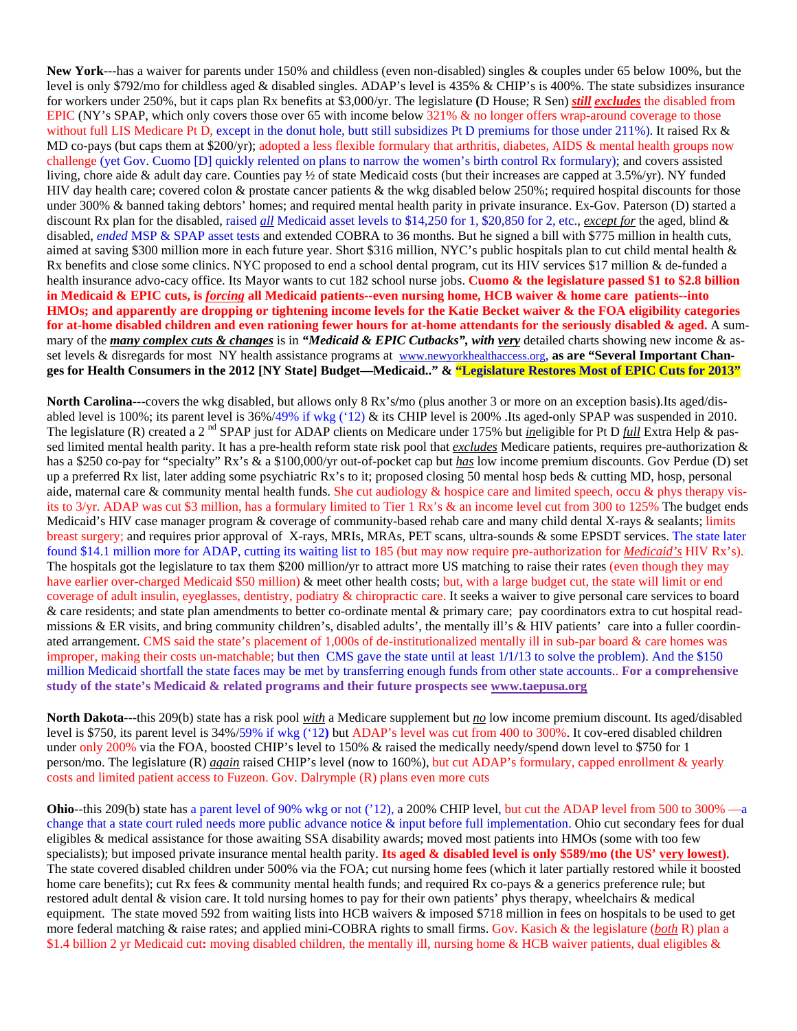**New York**---has a waiver for parents under 150% and childless (even non-disabled) singles & couples under 65 below 100%, but the level is only \$792/mo for childless aged & disabled singles. ADAP's level is 435% & CHIP's is 400%. The state subsidizes insurance for workers under 250%, but it caps plan Rx benefits at \$3,000/yr. The legislature **(**D House; R Sen) *still excludes* the disabled from EPIC (NY's SPAP, which only covers those over 65 with income below 321% & no longer offers wrap-around coverage to those without full LIS Medicare Pt D, except in the donut hole, butt still subsidizes Pt D premiums for those under 211%). It raised Rx & MD co-pays (but caps them at \$200/yr); adopted a less flexible formulary that arthritis, diabetes, AIDS & mental health groups now challenge (yet Gov. Cuomo [D] quickly relented on plans to narrow the women's birth control Rx formulary); and covers assisted living, chore aide & adult day care. Counties pay ½ of state Medicaid costs (but their increases are capped at 3.5%/yr). NY funded HIV day health care; covered colon & prostate cancer patients & the wkg disabled below 250%; required hospital discounts for those under 300% & banned taking debtors' homes; and required mental health parity in private insurance. Ex-Gov. Paterson (D) started a discount Rx plan for the disabled, raised *all* Medicaid asset levels to \$14,250 for 1, \$20,850 for 2, etc., *except for* the aged, blind & disabled, *ended* MSP & SPAP asset tests and extended COBRA to 36 months. But he signed a bill with \$775 million in health cuts, aimed at saving \$300 million more in each future year. Short \$316 million, NYC's public hospitals plan to cut child mental health & Rx benefits and close some clinics. NYC proposed to end a school dental program, cut its HIV services \$17 million & de-funded a health insurance advo-cacy office. Its Mayor wants to cut 182 school nurse jobs. **Cuomo & the legislature passed \$1 to \$2.8 billion in Medicaid & EPIC cuts, is** *forcing* **all Medicaid patients--even nursing home, HCB waiver & home care patients--into HMOs; and apparently are dropping or tightening income levels for the Katie Becket waiver & the FOA eligibility categories for at-home disabled children and even rationing fewer hours for at-home attendants for the seriously disabled & aged.** A summary of the *many complex cuts & changes* is in *"Medicaid & EPIC Cutbacks", with very* detailed charts showing new income & asset levels & disregards for most NY health assistance programs at www.newyorkhealthaccess.org, **as are "Several Important Changes for Health Consumers in the 2012 [NY State] Budget—Medicaid.." & "Legislature Restores Most of EPIC Cuts for 2013"**

**North Carolina**---covers the wkg disabled, but allows only 8 Rx's**/**mo (plus another 3 or more on an exception basis).Its aged/disabled level is 100%; its parent level is 36%/49% if wkg ('12) & its CHIP level is 200% .Its aged-only SPAP was suspended in 2010. The legislature (R) created a 2<sup>nd</sup> SPAP just for ADAP clients on Medicare under 175% but *ineligible* for Pt D *full* Extra Help & passed limited mental health parity. It has a pre-health reform state risk pool that *excludes* Medicare patients, requires pre-authorization & has a \$250 co-pay for "specialty" Rx's & a \$100,000/yr out-of-pocket cap but *has* low income premium discounts. Gov Perdue (D) set up a preferred Rx list, later adding some psychiatric Rx's to it; proposed closing 50 mental hosp beds & cutting MD, hosp, personal aide, maternal care & community mental health funds. She cut audiology & hospice care and limited speech, occu & phys therapy visits to 3/yr. ADAP was cut \$3 million, has a formulary limited to Tier 1 Rx's & an income level cut from 300 to 125% The budget ends Medicaid's HIV case manager program & coverage of community-based rehab care and many child dental X-rays & sealants; limits breast surgery; and requires prior approval of X-rays, MRIs, MRAs, PET scans, ultra-sounds & some EPSDT services. The state later found \$14.1 million more for ADAP, cutting its waiting list to 185 (but may now require pre-authorization for *Medicaid's* HIV Rx's). The hospitals got the legislature to tax them \$200 million**/**yr to attract more US matching to raise their rates (even though they may have earlier over-charged Medicaid \$50 million) & meet other health costs; but, with a large budget cut, the state will limit or end coverage of adult insulin, eyeglasses, dentistry, podiatry & chiropractic care. It seeks a waiver to give personal care services to board & care residents; and state plan amendments to better co-ordinate mental & primary care; pay coordinators extra to cut hospital readmissions & ER visits, and bring community children's, disabled adults', the mentally ill's & HIV patients' care into a fuller coordinated arrangement. CMS said the state's placement of 1,000s of de-institutionalized mentally ill in sub-par board & care homes was improper, making their costs un-matchable; but then CMS gave the state until at least 1**/**1**/**13 to solve the problem). And the \$150 million Medicaid shortfall the state faces may be met by transferring enough funds from other state accounts.. **For a comprehensive study of the state's Medicaid & related programs and their future prospects see www.taepusa.org**

**North Dakota**---this 209(b) state has a risk pool *with* a Medicare supplement but *no* low income premium discount. Its aged/disabled level is \$750, its parent level is 34%/59% if wkg ('12**)** but ADAP's level was cut from 400 to 300%. It cov-ered disabled children under only 200% via the FOA, boosted CHIP's level to 150% & raised the medically needy**/**spend down level to \$750 for 1 person**/**mo. The legislature (R) *again* raised CHIP's level (now to 160%), but cut ADAP's formulary, capped enrollment & yearly costs and limited patient access to Fuzeon. Gov. Dalrymple (R) plans even more cuts

**Ohio--**this 209(b) state has a parent level of 90% wkg or not ('12), a 200% CHIP level, but cut the ADAP level from 500 to 300% —a change that a state court ruled needs more public advance notice & input before full implementation. Ohio cut secondary fees for dual eligibles & medical assistance for those awaiting SSA disability awards; moved most patients into HMOs (some with too few specialists); but imposed private insurance mental health parity. **Its aged & disabled level is only \$589/mo (the US' very lowest)**. The state covered disabled children under 500% via the FOA; cut nursing home fees (which it later partially restored while it boosted home care benefits); cut Rx fees & community mental health funds; and required Rx co-pays & a generics preference rule; but restored adult dental & vision care. It told nursing homes to pay for their own patients' phys therapy, wheelchairs & medical equipment. The state moved 592 from waiting lists into HCB waivers & imposed \$718 million in fees on hospitals to be used to get more federal matching & raise rates; and applied mini-COBRA rights to small firms. Gov. Kasich & the legislature (*both* R) plan a \$1.4 billion 2 yr Medicaid cut**:** moving disabled children, the mentally ill, nursing home & HCB waiver patients, dual eligibles &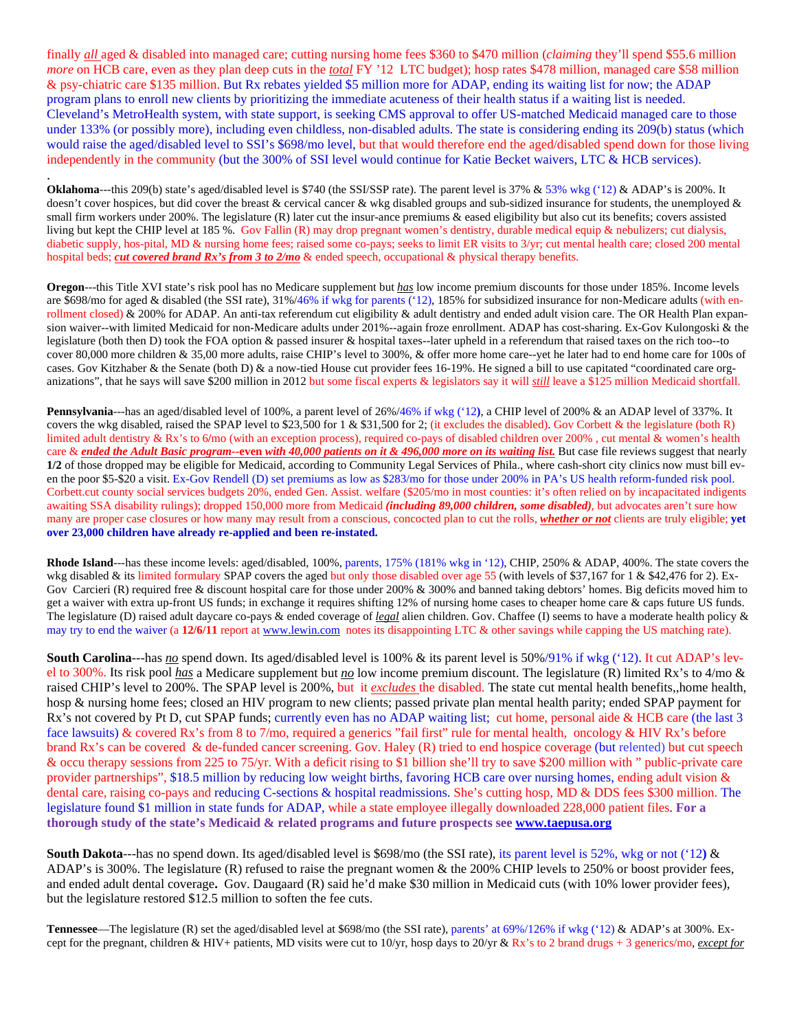finally *all* aged & disabled into managed care; cutting nursing home fees \$360 to \$470 million (*claiming* they'll spend \$55.6 million *more* on HCB care, even as they plan deep cuts in the *total* FY '12 LTC budget); hosp rates \$478 million, managed care \$58 million & psy-chiatric care \$135 million. But Rx rebates yielded \$5 million more for ADAP, ending its waiting list for now; the ADAP program plans to enroll new clients by prioritizing the immediate acuteness of their health status if a waiting list is needed. Cleveland's MetroHealth system, with state support, is seeking CMS approval to offer US-matched Medicaid managed care to those under 133% (or possibly more), including even childless, non-disabled adults. The state is considering ending its 209(b) status (which would raise the aged/disabled level to SSI's \$698/mo level, but that would therefore end the aged/disabled spend down for those living independently in the community (but the 300% of SSI level would continue for Katie Becket waivers, LTC & HCB services).

**Oklahoma---this 209(b)** state's aged/disabled level is \$740 (the SSUSSP rate). The parent level is 37% & 53% wkg ('12) & ADAP's is 200%. It doesn't cover hospices, but did cover the breast & cervical cancer & wkg disabled groups and sub-sidized insurance for students, the unemployed & small firm workers under 200%. The legislature (R) later cut the insur-ance premiums & eased eligibility but also cut its benefits; covers assisted living but kept the CHIP level at 185 %. Gov Fallin (R) may drop pregnant women's dentistry, durable medical equip & nebulizers; cut dialysis, diabetic supply, hos-pital, MD & nursing home fees; raised some co-pays; seeks to limit ER visits to 3/yr; cut mental health care; closed 200 mental hospital beds; *cut covered brand Rx's from 3 to 2/mo* & ended speech, occupational & physical therapy benefits.

.

**Oregon**---this Title XVI state's risk pool has no Medicare supplement but *has* low income premium discounts for those under 185%. Income levels are \$698/mo for aged & disabled (the SSI rate), 31%/46% if wkg for parents ('12), 185% for subsidized insurance for non-Medicare adults (with enrollment closed) & 200% for ADAP. An anti-tax referendum cut eligibility & adult dentistry and ended adult vision care. The OR Health Plan expansion waiver--with limited Medicaid for non-Medicare adults under 201%--again froze enrollment. ADAP has cost-sharing. Ex-Gov Kulongoski & the legislature (both then D) took the FOA option & passed insurer & hospital taxes--later upheld in a referendum that raised taxes on the rich too--to cover 80,000 more children & 35,00 more adults, raise CHIP's level to 300%, & offer more home care--yet he later had to end home care for 100s of cases. Gov Kitzhaber & the Senate (both D) & a now-tied House cut provider fees 16-19%. He signed a bill to use capitated "coordinated care organizations", that he says will save \$200 million in 2012 but some fiscal experts & legislators say it will *still* leave a \$125 million Medicaid shortfall.

**Pennsylvania**---has an aged/disabled level of 100%, a parent level of 26%/46% if wkg ('12**)**, a CHIP level of 200% & an ADAP level of 337%. It covers the wkg disabled, raised the SPAP level to \$23,500 for 1 & \$31,500 for 2; (it excludes the disabled). Gov Corbett & the legislature (both R) limited adult dentistry & Rx's to 6/mo (with an exception process), required co-pays of disabled children over 200%, cut mental & women's health care & *ended the Adult Basic program--***even** *with 40,000 patients on it & 496,000 more on its waiting list.* But case file reviews suggest that nearly **1/2** of those dropped may be eligible for Medicaid, according to Community Legal Services of Phila., where cash-short city clinics now must bill even the poor \$5-\$20 a visit. Ex-Gov Rendell (D) set premiums as low as \$283/mo for those under 200% in PA's US health reform-funded risk pool. Corbett.cut county social services budgets 20%, ended Gen. Assist. welfare (\$205/mo in most counties: it's often relied on by incapacitated indigents awaiting SSA disability rulings); dropped 150,000 more from Medicaid *(including 89,000 children, some disabled)*, but advocates aren't sure how many are proper case closures or how many may result from a conscious, concocted plan to cut the rolls, *whether or not* clients are truly eligible; **yet over 23,000 children have already re-applied and been re-instated.** 

**Rhode Island**---has these income levels: aged/disabled, 100%, parents, 175% (181% wkg in '12), CHIP, 250% & ADAP, 400%. The state covers the wkg disabled & its limited formulary SPAP covers the aged but only those disabled over age 55 (with levels of \$37,167 for 1 & \$42,476 for 2). Ex-Gov Carcieri (R) required free & discount hospital care for those under 200% & 300% and banned taking debtors' homes. Big deficits moved him to get a waiver with extra up-front US funds; in exchange it requires shifting 12% of nursing home cases to cheaper home care & caps future US funds. The legislature (D) raised adult daycare co-pays & ended coverage of *legal* alien children. Gov. Chaffee (I) seems to have a moderate health policy & may try to end the waiver (a 12/6/11 report at www.lewin.com notes its disappointing LTC & other savings while capping the US matching rate).

**South Carolina**---has <u>no</u> spend down. Its aged/disabled level is 100% & its parent level is 50%/91% if wkg ('12). It cut ADAP's level to 300%. Its risk pool *has* a Medicare supplement but *no* low income premium discount. The legislature (R) limited Rx's to 4/mo & raised CHIP's level to 200%. The SPAP level is 200%, but it *excludes* the disabled. The state cut mental health benefits,,home health, hosp & nursing home fees; closed an HIV program to new clients; passed private plan mental health parity; ended SPAP payment for Rx's not covered by Pt D, cut SPAP funds; currently even has no ADAP waiting list; cut home, personal aide & HCB care (the last 3 face lawsuits) & covered Rx's from 8 to 7/mo, required a generics "fail first" rule for mental health, oncology & HIV Rx's before brand Rx's can be covered & de-funded cancer screening. Gov. Haley (R) tried to end hospice coverage (but relented) but cut speech & occu therapy sessions from 225 to 75/yr. With a deficit rising to \$1 billion she'll try to save \$200 million with " public-private care provider partnerships", \$18.5 million by reducing low weight births, favoring HCB care over nursing homes, ending adult vision & dental care, raising co-pays and reducing C-sections & hospital readmissions. She's cutting hosp, MD & DDS fees \$300 million. The legislature found \$1 million in state funds for ADAP, while a state employee illegally downloaded 228,000 patient files. **For a thorough study of the state's Medicaid & related programs and future prospects see www.taepusa.org** 

**South Dakota**---has no spend down. Its aged/disabled level is \$698/mo (the SSI rate), its parent level is 52%, wkg or not ('12**)** & ADAP's is 300%. The legislature (R) refused to raise the pregnant women & the 200% CHIP levels to 250% or boost provider fees, and ended adult dental coverage**.** Gov. Daugaard (R) said he'd make \$30 million in Medicaid cuts (with 10% lower provider fees), but the legislature restored \$12.5 million to soften the fee cuts.

**Tennessee**—The legislature (R) set the aged/disabled level at \$698/mo (the SSI rate), parents' at 69%/126% if wkg ('12) & ADAP's at 300%. Except for the pregnant, children & HIV+ patients, MD visits were cut to 10/yr, hosp days to 20/yr & Rx's to 2 brand drugs + 3 generics/mo, *except for*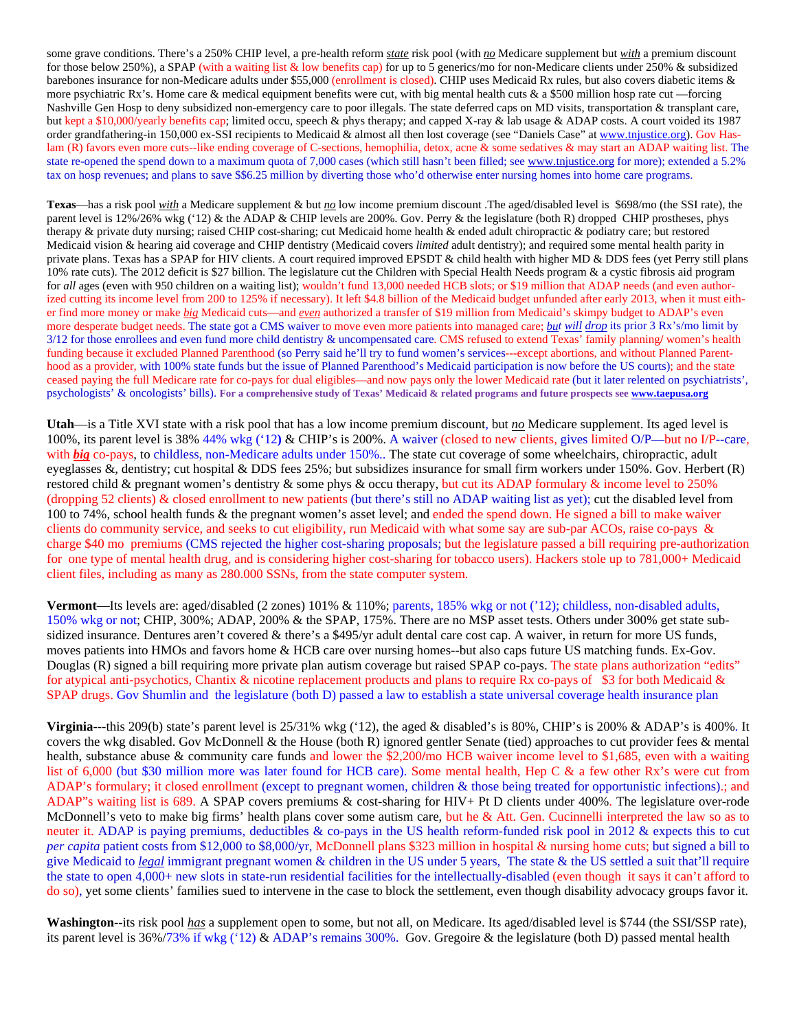some grave conditions. There's a 250% CHIP level, a pre-health reform *state* risk pool (with *no* Medicare supplement but *with* a premium discount for those below 250%), a SPAP (with a waiting list & low benefits cap) for up to 5 generics/mo for non-Medicare clients under 250% & subsidized barebones insurance for non-Medicare adults under \$55,000 (enrollment is closed). CHIP uses Medicaid Rx rules, but also covers diabetic items & more psychiatric Rx's. Home care & medical equipment benefits were cut, with big mental health cuts & a \$500 million hosp rate cut —forcing Nashville Gen Hosp to deny subsidized non-emergency care to poor illegals. The state deferred caps on MD visits, transportation & transplant care, but kept a \$10,000/yearly benefits cap; limited occu, speech & phys therapy; and capped X-ray & lab usage & ADAP costs. A court voided its 1987 order grandfathering-in 150,000 ex-SSI recipients to Medicaid & almost all then lost coverage (see "Daniels Case" at www.tnjustice.org). Gov Haslam (R) favors even more cuts--like ending coverage of C-sections, hemophilia, detox, acne & some sedatives & may start an ADAP waiting list. The state re-opened the spend down to a maximum quota of 7,000 cases (which still hasn't been filled; see www.tnjustice.org for more); extended a 5.2% tax on hosp revenues; and plans to save \$\$6.25 million by diverting those who'd otherwise enter nursing homes into home care programs.

**Texas**—has a risk pool *with* a Medicare supplement & but *no* low income premium discount .The aged/disabled level is \$698/mo (the SSI rate), the parent level is 12%/26% wkg ('12) & the ADAP & CHIP levels are 200%. Gov. Perry & the legislature (both R) dropped CHIP prostheses, phys therapy & private duty nursing; raised CHIP cost-sharing; cut Medicaid home health & ended adult chiropractic & podiatry care; but restored Medicaid vision & hearing aid coverage and CHIP dentistry (Medicaid covers *limited* adult dentistry); and required some mental health parity in private plans. Texas has a SPAP for HIV clients. A court required improved EPSDT & child health with higher MD & DDS fees (yet Perry still plans 10% rate cuts). The 2012 deficit is \$27 billion. The legislature cut the Children with Special Health Needs program & a cystic fibrosis aid program for *all* ages (even with 950 children on a waiting list); wouldn't fund 13,000 needed HCB slots; or \$19 million that ADAP needs (and even authorized cutting its income level from 200 to 125% if necessary). It left \$4.8 billion of the Medicaid budget unfunded after early 2013, when it must either find more money or make *big* Medicaid cuts—and *even* authorized a transfer of \$19 million from Medicaid's skimpy budget to ADAP's even more desperate budget needs. The state got a CMS waiver to move even more patients into managed care; *but will drop* its prior 3 Rx's/mo limit by 3/12 for those enrollees and even fund more child dentistry & uncompensated care. CMS refused to extend Texas' family planning**/** women's health funding because it excluded Planned Parenthood (so Perry said he'll try to fund women's services---except abortions, and without Planned Parenthood as a provider, with 100% state funds but the issue of Planned Parenthood's Medicaid participation is now before the US courts); and the state ceased paying the full Medicare rate for co-pays for dual eligibles—and now pays only the lower Medicaid rate (but it later relented on psychiatrists', psychologists' & oncologists' bills). **For a comprehensive study of Texas' Medicaid & related programs and future prospects see www.taepusa.org** 

**Utah**—is a Title XVI state with a risk pool that has a low income premium discount, but *no* Medicare supplement. Its aged level is 100%, its parent level is 38%/44% wkg ('12**)** & CHIP's is 200%. A waiver (closed to new clients, gives limited O/P—but no I/P--care, with *big* co-pays, to childless, non-Medicare adults under 150%.. The state cut coverage of some wheelchairs, chiropractic, adult eyeglasses &, dentistry; cut hospital & DDS fees 25%; but subsidizes insurance for small firm workers under 150%. Gov. Herbert (R) restored child & pregnant women's dentistry & some phys & occu therapy, but cut its ADAP formulary & income level to 250% (dropping 52 clients) & closed enrollment to new patients (but there's still no ADAP waiting list as yet); cut the disabled level from 100 to 74%, school health funds & the pregnant women's asset level; and ended the spend down. He signed a bill to make waiver clients do community service, and seeks to cut eligibility, run Medicaid with what some say are sub-par ACOs, raise co-pays & charge \$40 mo premiums (CMS rejected the higher cost-sharing proposals; but the legislature passed a bill requiring pre-authorization for one type of mental health drug, and is considering higher cost-sharing for tobacco users). Hackers stole up to 781,000+ Medicaid client files, including as many as 280.000 SSNs, from the state computer system.

**Vermont**—Its levels are: aged/disabled (2 zones)  $101\%$  &  $110\%$ ; parents, 185% wkg or not ('12); childless, non-disabled adults, 150% wkg or not; CHIP, 300%; ADAP, 200% & the SPAP, 175%. There are no MSP asset tests. Others under 300% get state subsidized insurance. Dentures aren't covered & there's a \$495/yr adult dental care cost cap. A waiver, in return for more US funds, moves patients into HMOs and favors home & HCB care over nursing homes--but also caps future US matching funds. Ex-Gov. Douglas (R) signed a bill requiring more private plan autism coverage but raised SPAP co-pays. The state plans authorization "edits" for atypical anti-psychotics, Chantix & nicotine replacement products and plans to require Rx co-pays of \$3 for both Medicaid  $\&$ SPAP drugs. Gov Shumlin and the legislature (both D) passed a law to establish a state universal coverage health insurance plan

**Virginia**---this 209(b) state's parent level is 25/31% wkg ('12), the aged & disabled's is 80%, CHIP's is 200% & ADAP's is 400%. It covers the wkg disabled. Gov McDonnell & the House (both R) ignored gentler Senate (tied) approaches to cut provider fees & mental health, substance abuse & community care funds and lower the \$2,200**/**mo HCB waiver income level to \$1,685, even with a waiting list of 6,000 (but \$30 million more was later found for HCB care). Some mental health, Hep C & a few other Rx's were cut from ADAP's formulary; it closed enrollment (except to pregnant women, children & those being treated for opportunistic infections).; and ADAP"s waiting list is 689. A SPAP covers premiums & cost-sharing for HIV+ Pt D clients under 400%. The legislature over-rode McDonnell's veto to make big firms' health plans cover some autism care, but he & Att. Gen. Cucinnelli interpreted the law so as to neuter it. ADAP is paying premiums, deductibles & co-pays in the US health reform-funded risk pool in 2012 & expects this to cut *per capita* patient costs from \$12,000 to \$8,000/yr, McDonnell plans \$323 million in hospital & nursing home cuts; but signed a bill to give Medicaid to *legal* immigrant pregnant women & children in the US under 5 years, The state & the US settled a suit that'll require the state to open 4,000+ new slots in state-run residential facilities for the intellectually-disabled (even though it says it can't afford to do so), yet some clients' families sued to intervene in the case to block the settlement, even though disability advocacy groups favor it.

**Washington**--its risk pool *has* a supplement open to some, but not all, on Medicare. Its aged/disabled level is \$744 (the SSI**/**SSP rate), its parent level is 36%/73% if wkg ('12) & ADAP's remains 300%. Gov. Gregoire & the legislature (both D) passed mental health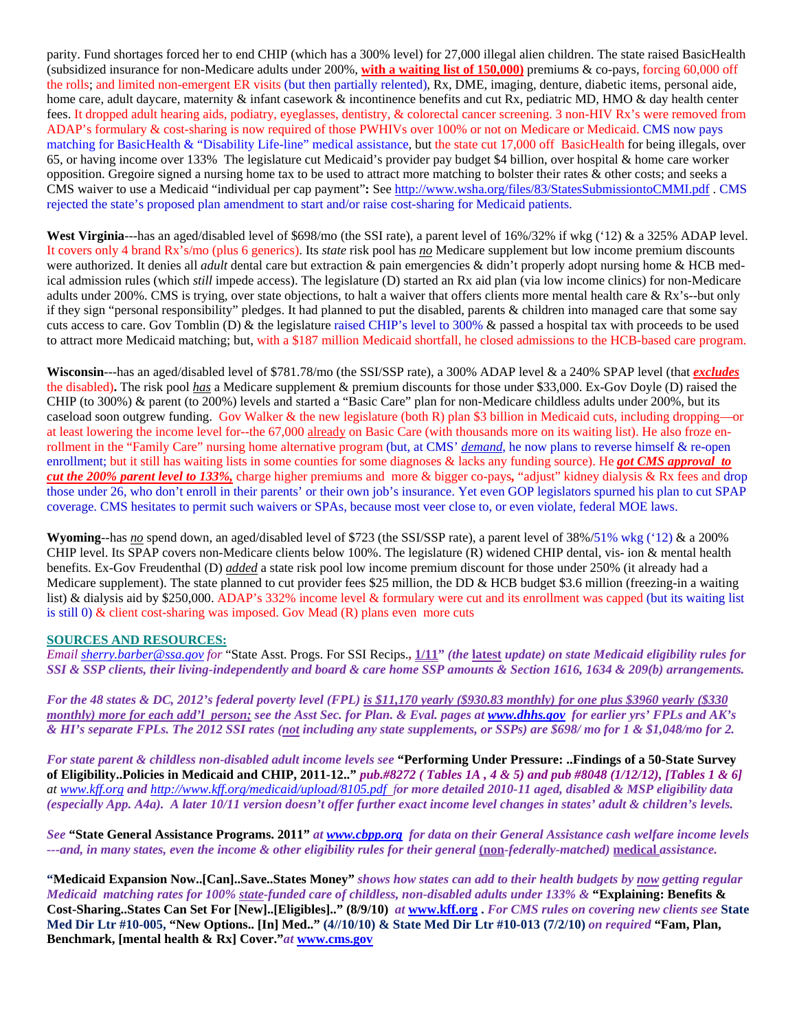parity. Fund shortages forced her to end CHIP (which has a 300% level) for 27,000 illegal alien children. The state raised BasicHealth (subsidized insurance for non-Medicare adults under 200%, **with a waiting list of 150,000)** premiums & co-pays, forcing 60,000 off the rolls; and limited non-emergent ER visits (but then partially relented), Rx, DME, imaging, denture, diabetic items, personal aide, home care, adult daycare, maternity & infant casework & incontinence benefits and cut Rx, pediatric MD, HMO & day health center fees. It dropped adult hearing aids, podiatry, eyeglasses, dentistry, & colorectal cancer screening. 3 non-HIV Rx's were removed from ADAP's formulary & cost-sharing is now required of those PWHIVs over 100% or not on Medicare or Medicaid. CMS now pays matching for BasicHealth & "Disability Life-line" medical assistance, but the state cut 17,000 off BasicHealth for being illegals, over 65, or having income over 133% The legislature cut Medicaid's provider pay budget \$4 billion, over hospital & home care worker opposition. Gregoire signed a nursing home tax to be used to attract more matching to bolster their rates & other costs; and seeks a CMS waiver to use a Medicaid "individual per cap payment"**:** See http://www.wsha.org/files/83/StatesSubmissiontoCMMI.pdf . CMS rejected the state's proposed plan amendment to start and/or raise cost-sharing for Medicaid patients.

**West Virginia**---has an aged/disabled level of \$698/mo (the SSI rate), a parent level of 16%/32% if wkg ('12) & a 325% ADAP level. It covers only 4 brand Rx's/mo (plus 6 generics). Its *state* risk pool has *no* Medicare supplement but low income premium discounts were authorized. It denies all *adult* dental care but extraction & pain emergencies & didn't properly adopt nursing home & HCB medical admission rules (which *still* impede access). The legislature (D) started an Rx aid plan (via low income clinics) for non-Medicare adults under 200%. CMS is trying, over state objections, to halt a waiver that offers clients more mental health care & Rx's--but only if they sign "personal responsibility" pledges. It had planned to put the disabled, parents & children into managed care that some say cuts access to care. Gov Tomblin (D) & the legislature raised CHIP's level to 300% & passed a hospital tax with proceeds to be used to attract more Medicaid matching; but, with a \$187 million Medicaid shortfall, he closed admissions to the HCB-based care program.

**Wisconsin**---has an aged/disabled level of \$781.78/mo (the SSI/SSP rate), a 300% ADAP level & a 240% SPAP level (that *excludes* the disabled)**.** The risk pool *has* a Medicare supplement & premium discounts for those under \$33,000. Ex-Gov Doyle (D) raised the CHIP (to 300%) & parent (to 200%) levels and started a "Basic Care" plan for non-Medicare childless adults under 200%, but its caseload soon outgrew funding. Gov Walker & the new legislature (both R) plan \$3 billion in Medicaid cuts, including dropping—or at least lowering the income level for--the 67,000 already on Basic Care (with thousands more on its waiting list). He also froze enrollment in the "Family Care" nursing home alternative program (but, at CMS' *demand*, he now plans to reverse himself & re-open enrollment; but it still has waiting lists in some counties for some diagnoses & lacks any funding source). He *got CMS approval to cut the 200% parent level to 133%,* charge higher premiums and more & bigger co-pays*,* "adjust" kidney dialysis & Rx fees and drop those under 26, who don't enroll in their parents' or their own job's insurance. Yet even GOP legislators spurned his plan to cut SPAP coverage. CMS hesitates to permit such waivers or SPAs, because most veer close to, or even violate, federal MOE laws.

**Wyoming**--has *no* spend down, an aged/disabled level of \$723 (the SSI/SSP rate), a parent level of 38%/51% wkg ('12) & a 200% CHIP level. Its SPAP covers non-Medicare clients below 100%. The legislature (R) widened CHIP dental, vis- ion & mental health benefits. Ex-Gov Freudenthal (D) *added* a state risk pool low income premium discount for those under 250% (it already had a Medicare supplement). The state planned to cut provider fees \$25 million, the DD & HCB budget \$3.6 million (freezing-in a waiting list) & dialysis aid by \$250,000. ADAP's 332% income level & formulary were cut and its enrollment was capped (but its waiting list is still 0) & client cost-sharing was imposed. Gov Mead (R) plans even more cuts

## **SOURCES AND RESOURCES:**

*Email sherry.barber@ssa.gov for* "State Asst. Progs. For SSI Recips.**, 1/11"** *(the* **latest** *update) on state Medicaid eligibility rules for SSI & SSP clients, their living-independently and board & care home SSP amounts & Section 1616, 1634 & 209(b) arrangements.* 

*For the 48 states & DC, 2012's federal poverty level (FPL) is \$11,170 yearly (\$930.83 monthly) for one plus \$3960 yearly (\$330 monthly) more for each add'l person; see the Asst Sec. for Plan. & Eval. pages at www.dhhs.gov for earlier yrs' FPLs and AK's & HI's separate FPLs. The 2012 SSI rates (not including any state supplements, or SSPs) are \$698/ mo for 1 & \$1,048/mo for 2.* 

*For state parent & childless non-disabled adult income levels see* **"Performing Under Pressure: ..Findings of a 50-State Survey of Eligibility..Policies in Medicaid and CHIP, 2011-12.."** *pub.#8272 ( Tables 1A , 4 & 5) and pub #8048 (1/12/12), [Tables 1 & 6] at www.kff.org and http://www.kff.org/medicaid/upload/8105.pdf for more detailed 2010-11 aged, disabled & MSP eligibility data (especially App. A4a). A later 10/11 version doesn't offer further exact income level changes in states' adult & children's levels.* 

*See* **"State General Assistance Programs. 2011"** *at www.cbpp.org for data on their General Assistance cash welfare income levels ---and, in many states, even the income & other eligibility rules for their general* **(non***-federally-matched)* **medical** *assistance.* 

**"Medicaid Expansion Now..[Can]..Save..States Money"** *shows how states can add to their health budgets by now getting regular Medicaid matching rates for 100% state-funded care of childless, non-disabled adults under 133% &* **"Explaining: Benefits & Cost-Sharing..States Can Set For [New]..[Eligibles].." (8/9/10)** *at* **www.kff.org .** *For CMS rules on covering new clients see* **State Med Dir Ltr #10-005, "New Options.. [In] Med.." (4//10/10) & State Med Dir Ltr #10-013 (7/2/10)** *on required* **"Fam, Plan, Benchmark, [mental health & Rx] Cover."***at* **www.cms.gov**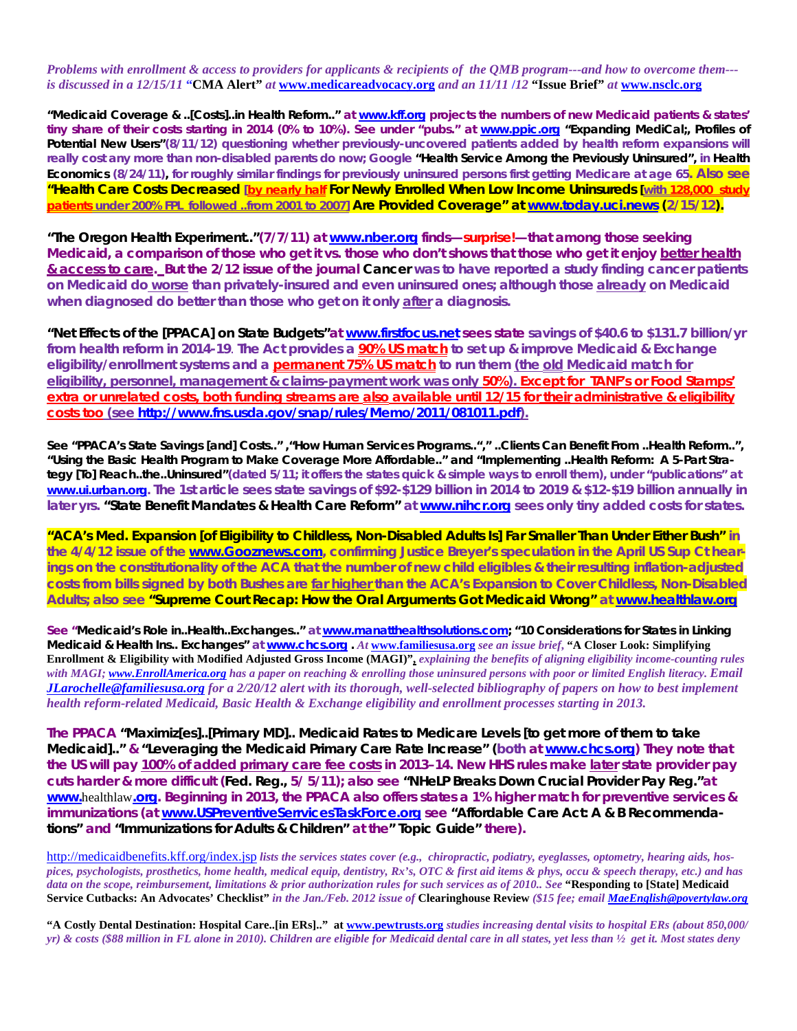*Problems with enrollment & access to providers for applicants & recipients of the QMB program---and how to overcome them-- is discussed in a 12/15/11* **"CMA Alert"** *at* **www.medicareadvocacy.org** *and an 11/11* **/***12* **"Issue Brief"** *at* **www.nsclc.org** 

**"Medicaid Coverage & ..[Costs]..in Health Reform.."** *at www.kff.org projects the numbers of new Medicaid patients & states' tiny share of their costs starting in 2014 (0% to 10%). See under "pubs." at www.ppic.org "***Expanding MediCal;, Profiles of Potential New Users"***(8/11/12) questioning whether previously-uncovered patients added by health reform expansions will really cost any more than non-disabled parents do now; Google* **"Health Service Among the Previously Uninsured",** *in* **Health Economics (8/24/11),** *for roughly similar findings for previously uninsured persons first getting Medicare at age 65. Also see*  **"Health Care Costs Decreased** *[by nearly half* **For Newly Enrolled When Low Income Uninsureds [***with 128,000 study patients under 200% FPL followed ..from 2001 to 2007]* **Are Provided Coverage" at www.today.uci.news (***2/15/12***).** 

**"The Oregon Health Experiment.."***(7/7/11) at www.nber.org finds—***surprise!***—that among those seeking Medicaid, a comparison of those who get it vs. those who don't shows that those who get it enjoy better health & access to care. But the 2/12 issue of the journal* **Cancer** *was to have reported a study finding cancer patients on Medicaid do worse than privately-insured and even uninsured ones; although those* **already** *on Medicaid when diagnosed do better than those who get on it only* **after** *a diagnosis.*

**"Net Effects of the [PPACA] on State Budgets"***at www.firstfocus.net sees state* **savings** *of \$40.6 to \$131.7 billion/yr from health reform in 2014-19*. **The Act provides** *a 90% US match to set up & improve Medicaid & Exchange eligibility/enrollment systems and a* **permanent** *75% US match to run them (the* **old** *Medicaid match for eligibility, personnel, management & claims-payment work was only 50%). Except for TANF's or Food Stamps' extra or unrelated costs, both funding streams are* **also** *available until 12/15 for their administrative & eligibility costs too (see http://www.fns.usda.gov/snap/rules/Memo/2011/081011.pdf).*

**See "PPACA's State Savings [and] Costs.." ,"How Human Services Programs.."," ..Clients Can Benefit From ..Health Reform..", "Using the Basic Health Program to Make Coverage More Affordable.." and "Implementing ..Health Reform: A 5-Part Strategy [To] Reach..the..Uninsured"***(dated 5/11; it offers the states quick & simple ways to enroll them), under "publications" at www.ui.urban.org. The 1st article sees state savings of \$92-\$129 billion in 2014 to 2019 & \$12-\$19 billion annually in later yrs.* **"State Benefit Mandates & Health Care Reform"** *at www.nihcr.org sees only tiny added costs for states.* 

**"ACA's Med. Expansion [of Eligibility to Childless, Non-Disabled Adults Is] Far Smaller Than Under Either Bush"** *in the 4/4/12 issue of the www.Gooznews.com, confirming Justice Breyer's speculation in the April US Sup Ct hearings on the constitutionality of the ACA that the number of new child eligibles & their resulting inflation-adjusted costs from bills signed by both Bushes are far higher than the ACA's Expansion to Cover Childless, Non-Disabled Adults; also see* **"Supreme Court Recap: How the Oral Arguments Got Medicaid Wrong"** *at www.healthlaw.org* 

*See "***Medicaid's Role in..Health..Exchanges.."** *at* **www.manatthealthsolutions.com; "10 Considerations for States in Linking Medicaid & Health Ins.. Exchanges"** *at* **www.chcs.org .** *At* **www.familiesusa.org** *see an issue brief***, "A Closer Look: Simplifying Enrollment & Eligibility with Modified Adjusted Gross Income (MAGI)",** *explaining the benefits of aligning eligibility income-counting rules with MAGI; www.EnrollAmerica.org has a paper on reaching & enrolling those uninsured persons with poor or limited English literacy. Email JLarochelle@familiesusa.org for a 2/20/12 alert with its thorough, well-selected bibliography of papers on how to best implement health reform-related Medicaid, Basic Health & Exchange eligibility and enrollment processes starting in 2013.* 

*The PPACA* **"Maximiz[es]..[Primary MD].. Medicaid Rates to Medicare Levels [to get more of them to take Medicaid].."** *&* **"Leveraging the Medicaid Primary Care Rate Increase" (***both at www.chcs.org) They note that the US will pay 100% of added primary care fee costs in 2013–14. New HHS rules make* **later** *state provider pay cuts harder & more difficult (***Fed. Reg.,** *5/ 5/11); also see* **"NHeLP Breaks Down Crucial Provider Pay Reg."***at www.*healthlaw*.org. Beginning in 2013, the PPACA also offers states a 1% higher match for preventive services & immunizations (at www.USPreventiveSerrvicesTaskForce.org see* **"Affordable Care Act: A & B Recommendations"** *and* **"Immunizations for Adults & Children"** *at the"* **Topic Guide"** *there).* 

http://medicaidbenefits.kff.org/index.jsp *lists the services states cover (e.g., chiropractic, podiatry, eyeglasses, optometry, hearing aids, hospices, psychologists, prosthetics, home health, medical equip, dentistry, Rx's, OTC & first aid items & phys, occu & speech therapy, etc.) and has data on the scope, reimbursement, limitations & prior authorization rules for such services as of 2010.. See* **"Responding to [State] Medicaid Service Cutbacks: An Advocates' Checklist"** *in the Jan./Feb. 2012 issue of* **Clearinghouse Review** *(\$15 fee; email MaeEnglish@povertylaw.org* 

**"A Costly Dental Destination: Hospital Care..[in ERs].." at www.pewtrusts.org** *studies increasing dental visits to hospital ERs (about 850,000/ yr) & costs (\$88 million in FL alone in 2010). Children are eligible for Medicaid dental care in all states, yet less than ½ get it. Most states deny*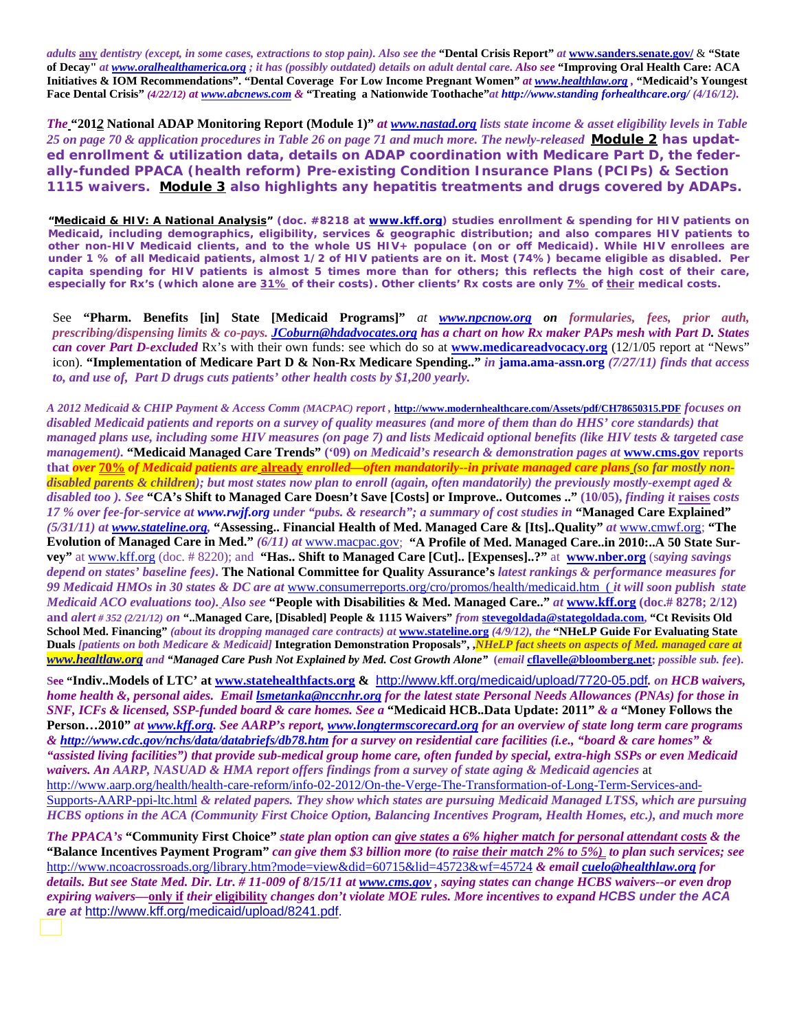*adults* **any** *dentistry (except, in some cases, extractions to stop pain). Also see the* **"Dental Crisis Report"** *at* **www.sanders.senate.gov/** & **"State of Decay"** *at www.oralhealthamerica.org ; it has (possibly outdated) details on adult dental care. Also see* **"Improving Oral Health Care: ACA Initiatives & IOM Recommendations". "Dental Coverage For Low Income Pregnant Women"** *at www.healthlaw.org ,* **"Medicaid's Youngest Face Dental Crisis"** *(4/22/12) at www.abcnews.com &* **"Treating a Nationwide Toothache"***at http://www.standing forhealthcare.org/ (4/16/12).* 

*The* **"201***2* **National ADAP Monitoring Report (Module 1)"** *at www.nastad.org lists state income & asset eligibility levels in Table 25 on page 70 & application procedures in Table 26 on page 71 and much more. The newly-released* **Module 2** *has updated enrollment & utilization data, details on ADAP coordination with Medicare Part D, the federally-funded PPACA (health reform) Pre-existing Condition Insurance Plans (PCIPs) & Section 1115 waivers.* **Module 3** *also highlights any hepatitis treatments and drugs covered by ADAPs.* 

*"***Medicaid & HIV: A National Analysis***" (doc. #8218 at www.kff.org) studies enrollment & spending for HIV patients on Medicaid, including demographics, eligibility, services & geographic distribution; and also compares HIV patients to other non-HIV Medicaid clients, and to the whole US HIV+ populace (on or off Medicaid). While HIV enrollees are* under 1 % of all Medicaid patients, almost 1/2 of HIV patients are on it. Most (74%) became eligible as disabled. Per **capita** *spending for HIV patients is almost 5 times more than for others; this reflects the high cost of their care, especially for Rx's (which alone are* **31%** *of their costs). Other clients' Rx costs are only* **7%** *of* **their** *medical costs.* 

See **"Pharm. Benefits [in] State [Medicaid Programs]"** *at www.npcnow.org on formularies, fees, prior auth, prescribing/dispensing limits & co-pays. JCoburn@hdadvocates.org has a chart on how Rx maker PAPs mesh with Part D. States can cover Part D-excluded* Rx's with their own funds: see which do so at **www.medicareadvocacy.org** (12/1/05 report at "News" icon). **"Implementation of Medicare Part D & Non-Rx Medicare Spending.."** *in* **jama.ama-assn.org** *(7/27/11) finds that access to, and use of, Part D drugs cuts patients' other health costs by \$1,200 yearly.* 

*A 2012 Medicaid & CHIP Payment & Access Comm (MACPAC) report ,* **http://www.modernhealthcare.com/Assets/pdf/CH78650315.PDF** *focuses on disabled Medicaid patients and reports on a survey of quality measures (and more of them than do HHS' core standards) that managed plans use, including some HIV measures (on page 7) and lists Medicaid optional benefits (like HIV tests & targeted case management).* **"Medicaid Managed Care Trends" ('09)** *on Medicaid's research & demonstration pages at* **www.cms.gov reports that** *over* **70%** *of Medicaid patients are* **already** *enrolled—often mandatorily--in private managed care plans (so far mostly nondisabled parents & children); but most states now plan to enroll (again, often mandatorily) the previously mostly-exempt aged & disabled too ). See* **"CA's Shift to Managed Care Doesn't Save [Costs] or Improve.. Outcomes .." (10/05),** *finding it* **raises** *costs 17 % over fee-for-service at www.rwjf.org under "pubs. & research"; a summary of cost studies in* **"Managed Care Explained"**  *(5/31/11) at www.stateline.org,* **"Assessing.. Financial Health of Med. Managed Care & [Its]..Quality"** *at* www.cmwf.org; **"The Evolution of Managed Care in Med."** *(6/11) at* www.macpac.gov; **"A Profile of Med. Managed Care..in 2010:..A 50 State Survey"** at www.kff.org (doc. # 8220); and **"Has.. Shift to Managed Care [Cut].. [Expenses]..?"** at **www.nber.org** (s*aying savings depend on states' baseline fees)***. The National Committee for Quality Assurance's** *latest rankings & performance measures for 99 Medicaid HMOs in 30 states & DC are at* www.consumerreports.org/cro/promos/health/medicaid.htm ( *it will soon publish state Medicaid ACO evaluations too). Also see* **"People with Disabilities & Med. Managed Care.."** *at* **www.kff.org (doc.# 8278; 2/12) and** *alert # 352 (2/21/12) on* **"..Managed Care, [Disabled] People & 1115 Waivers"** *from* **stevegoldada@stategoldada.com, "Ct Revisits Old School Med. Financing"** *(about its dropping managed care contracts) at* **www.stateline.org** *(4/9/12), the* **"NHeLP Guide For Evaluating State Duals** *[patients on both Medicare & Medicaid]* **Integration Demonstration Proposals", ,***NHeLP fact sheets on aspects of Med. managed care at www.healtlaw.org and "Managed Care Push Not Explained by Med. Cost Growth Alone"* **(***email* **cflavelle@bloomberg.net;** *possible sub. fee***).** 

**See "Indiv..Models of LTC' at www.statehealthfacts.org &** http://www.kff.org/medicaid/upload/7720-05.pdf*. on HCB waivers, home health &, personal aides. Email lsmetanka@nccnhr.org for the latest state Personal Needs Allowances (PNAs) for those in SNF, ICFs & licensed, SSP-funded board & care homes. See a* **"Medicaid HCB..Data Update: 2011"** *& a* **"Money Follows the Person…2010"** *at www.kff.org. See AARP's report, www.longtermscorecard.org for an overview of state long term care programs & http://www.cdc.gov/nchs/data/databriefs/db78.htm for a survey on residential care facilities (i.e., "board & care homes" & "assisted living facilities") that provide sub-medical group home care, often funded by special, extra-high SSPs or even Medicaid waivers. An AARP, NASUAD & HMA report offers findings from a survey of state aging & Medicaid agencies* at http://www.aarp.org/health/health-care-reform/info-02-2012/On-the-Verge-The-Transformation-of-Long-Term-Services-and-Supports-AARP-ppi-ltc.html *& related papers. They show which states are pursuing Medicaid Managed LTSS, which are pursuing HCBS options in the ACA (Community First Choice Option, Balancing Incentives Program, Health Homes, etc.), and much more* 

*The PPACA's* **"Community First Choice"** *state plan option can give states a 6% higher match for personal attendant costs & the*  **"Balance Incentives Payment Program"** *can give them \$3 billion more (to raise their match 2% to 5%) to plan such services; see*  http://www.ncoacrossroads.org/library.htm?mode=view&did=60715&lid=45723&wf=45724 *& email cuelo@healthlaw.org for details. But see State Med. Dir. Ltr. # 11-009 of 8/15/11 at www.cms.gov , saying states can change HCBS waivers--or even drop expiring waivers—***only if** *their* **eligibility** *changes don't violate MOE rules. More incentives to expand HCBS under the ACA are at* http://www.kff.org/medicaid/upload/8241.pdf.